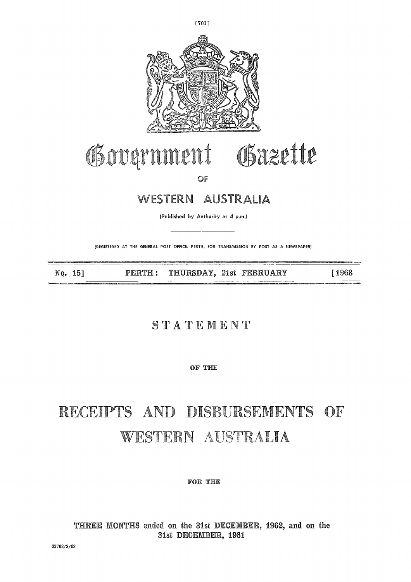

[7011

## Government Gazette  $\begin{array}{c}\n\cdot \\
\cdot \\
\cdot\n\end{array}$

OF

#### WESTERN AUSTRALIA

(Published by Authority at 4 p.m.)

(REGISTERED *AT* THE GENERAL POST OFFICE, PERTH, FOR TRANSMISSION BY POST AS A NEWSPAPER)

No. 15] PERTH : THURSDAY, 21st FEBRUARY [ 1963

#### **STATEMENT**

**OF THE**

#### **,** NTS WESTERN AUSTRALIA

**FOR THE**

**THREE MONTHS** ended on the 31st DECEMBER, 1962, and on the 31st DECEMBER, 1961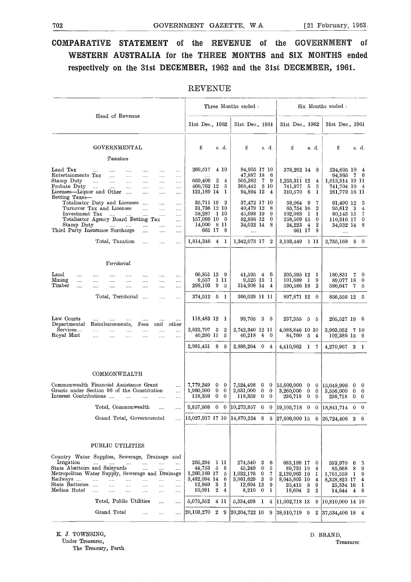## TO2<br>
GOVERNMENT GAZETTE, W.A. [21 February, 1963.]<br>
COMPARATIVE STATEMENT of the REVENUE of the GOVERNMENT of **COMPARATIVE STATEMENT** of the **REVENUE** of the **GOVERNMENT** of **WESTERN AUSTRALIA** for the **THREE MONTHS** and SIX MONTHS ended respectively on the **31st DECEMBER,** 1962 and the 31st **DECEMBER, 1961.**

|                                                                                                                                                                                                                                                                                                                                                 | <b>REVENUE</b>                                                                    |                          |                          |                                                                      |                                             |                                   |                                                                             |                                                                             |                                                                            |                   |                                                          |
|-------------------------------------------------------------------------------------------------------------------------------------------------------------------------------------------------------------------------------------------------------------------------------------------------------------------------------------------------|-----------------------------------------------------------------------------------|--------------------------|--------------------------|----------------------------------------------------------------------|---------------------------------------------|-----------------------------------|-----------------------------------------------------------------------------|-----------------------------------------------------------------------------|----------------------------------------------------------------------------|-------------------|----------------------------------------------------------|
|                                                                                                                                                                                                                                                                                                                                                 |                                                                                   |                          |                          | Three Months ended:                                                  |                                             |                                   |                                                                             |                                                                             | Six Months ended :                                                         |                   |                                                          |
| Head of Revenue                                                                                                                                                                                                                                                                                                                                 | 31st Dec., 1962                                                                   |                          |                          | 31st Dec., 1961                                                      |                                             |                                   | 31st Dec., 1962                                                             |                                                                             | 31st Dec., 1961                                                            |                   |                                                          |
| GOVERNMENTAL                                                                                                                                                                                                                                                                                                                                    | £                                                                                 | s. d.                    |                          | £                                                                    |                                             | s. d.                             | £                                                                           | s. d.                                                                       | £                                                                          |                   | s. d.                                                    |
| Taxation                                                                                                                                                                                                                                                                                                                                        |                                                                                   |                          |                          |                                                                      |                                             |                                   |                                                                             |                                                                             |                                                                            |                   |                                                          |
| Land Tax<br>$\cdots$<br>$\cdots$<br>.<br>$\cdots$<br>$\cdots$<br>$\cdots$<br>Entertainments Tax<br>$\cdots$<br>$\cdots$<br>$\cdots$<br><br><br>Stamp Duty<br>$\cdots$<br>.<br>$\cdots$<br>.<br>$\cdots$<br><br>Probate Duty<br>and a<br>in a<br>$\cdots$<br>$\cdots$<br><br><br>Licenses-Liquor and Other<br>$\ldots$<br><br><br>Betting Taxes- | 269,517<br>659,409<br>466,762 12<br>121,189 14                                    | 4 10<br>$^{\circ}$       | $\overline{4}$<br>5<br>1 | 84,905 17 10<br>47,887 18<br>505,362<br>368,442 3 10<br>94,894 12    | $\overline{7}$                              | -6<br>- 9<br>$\overline{4}$       | 376,292 14 8<br>1,255,311 12<br>741,977<br>310,570                          | 4<br>5<br>$\boldsymbol{2}$<br>6<br>1                                        | 234,605 10 4<br>94,965<br>1,013,914 19 11<br>741,704 10 4<br>281,779 16 11 | 7                 | - 6                                                      |
| Totalisator Duty and Licenses<br>$\cdots$<br><br><br>Turnover Tax and Licenses<br>$\cdots$<br><br>Investment Tax<br>$\cdots$<br><br><br>Totalisator Agency Board Betting Tax<br>Stamp Duty<br><br><br>Third Party Insurance Surcharge<br><br>.                                                                                                  | 35,711 19<br>31,736 12 10<br><br>58,287 1 10<br>157,069 10<br><br>14,000 8 11<br> | 661 17 8                 | 2<br>$\overline{0}$      | 37,472 17 10<br>40,479 12<br>45,698 19<br>82,896 12<br>34,032 14<br> |                                             | 8<br>9<br>0<br>8                  | 58,064 9<br>65.754 16<br>102,083<br>258,509 15<br>24,223<br>661 17          | 7<br>$\overline{2}$<br>$\mathbf{1}$<br>1<br>0<br>$\boldsymbol{2}$<br>4<br>8 | 61,490 12<br>95,612<br>80,145 15<br>116,916 17<br>34,032 14<br>            | - 3               | 5<br>$\overline{4}$<br>$\overline{7}$<br>$\bf{0}$<br>- 8 |
| Total, Taxation<br><br><br>.                                                                                                                                                                                                                                                                                                                    | 1,814,346 4                                                                       |                          | - 1                      | 1,342,073 17 2                                                       |                                             |                                   | 3,193,449 1 11                                                              |                                                                             | 2,755,168                                                                  |                   | 8 0                                                      |
| Territorial                                                                                                                                                                                                                                                                                                                                     |                                                                                   |                          |                          |                                                                      |                                             |                                   |                                                                             |                                                                             |                                                                            |                   |                                                          |
| $\rm Land$<br>$\cdots$<br><br><br><br><br>$\operatorname{Mining}$<br><br><br>.<br>$\mathtt{Timber}$<br><br><br><br><br>$\cdots$<br><br>                                                                                                                                                                                                         | 66,851 13 9<br>9,557<br>298,103                                                   | 1 11<br>9                | 5                        | 41,595 4<br>9,525 13<br>314,908 14                                   |                                             | - 6<br>1<br>$\overline{4}$        | 205,595 12<br>101,689<br>590,586 18                                         | - 1<br>9<br>$\mathbf{1}$<br>$\boldsymbol{2}$                                | 180,831<br>89,077 18<br>586,647                                            |                   | 70<br>$\overline{0}$<br>$7\quad 5$                       |
| Total, Territorial<br>$\cdots$<br><br>                                                                                                                                                                                                                                                                                                          | 374,512 5 1                                                                       |                          |                          | 366,029 11 11                                                        |                                             |                                   | 897,871 12                                                                  | $\bf{0}$                                                                    | 856,556 12 5                                                               |                   |                                                          |
| Law Courts<br><br><br><br>Departmenta<br>and other<br>Reimbursements,<br>Fees                                                                                                                                                                                                                                                                   | 118,483 12 1                                                                      |                          |                          | 99,705 3                                                             |                                             | - 5                               | 237,355                                                                     | $5\quad 5$                                                                  | $205{,}527$ 19                                                             |                   | - 6                                                      |
| Services<br>.<br><br><br><br>.<br>.<br>Royal Mint<br><br><br>.<br><br>$\cdots$<br>$\cdots$                                                                                                                                                                                                                                                      | 2,822,707 5<br>40,260 11                                                          |                          | $\boldsymbol{2}$<br>5    | 2,742,340 12 11<br>$46,218$ 4 0                                      |                                             |                                   | 4,088,846 10 10<br>84,760 5 4                                               |                                                                             | 3,963,052 7 10<br>102,386 15 9                                             |                   |                                                          |
|                                                                                                                                                                                                                                                                                                                                                 | 2,981,451 8                                                                       |                          | - 8                      | 2,888,264                                                            | $\bf{0}$                                    | 4                                 | 4,410,962                                                                   | $\mathbf{1}$<br>7                                                           | 4,270,967                                                                  |                   | 3 <sub>1</sub>                                           |
| COMMONWEALTH<br>Commonwealth Financial Assistance Grant<br><br>Grants under Section 96 of the Constitution<br>$\cdots$<br>Interest Contributions<br>$\dddotsc$<br>$\ddotsc$<br>.<br>$\cdots$                                                                                                                                                    | 7,779,249<br>1,960,000<br>118,359                                                 | 0<br>0<br>$\overline{0}$ | 0<br>0<br>0              | 7,524,498<br>2,631,000<br>118,359                                    | 0<br>$\bf{0}$<br>0                          | 0<br>0<br>0                       | 15,609,000<br>3,260,000<br>236,718                                          | 0<br>$\bf{0}$<br>0<br>0<br>0<br>0                                           | 15,048,996<br>3,556,000<br>236,718                                         | 0<br>0            | $\bf{0}$<br>$\bf{0}$<br>$0\quad 0$                       |
| Total, Commonwealth<br><br>                                                                                                                                                                                                                                                                                                                     | 9,857,608                                                                         | $\bf{0}$                 | $\bf{0}$                 | 10,273,857                                                           | 0                                           | $\mathbf 0$                       | 19,105,718                                                                  | $\mathbf 0$<br>$\bf{0}$                                                     | 18,841,714                                                                 | $\mathbf{0}$      | $\overline{0}$                                           |
| Grand Total, Governmental<br>$\dddotsc$                                                                                                                                                                                                                                                                                                         | 15,027,917 17 10                                                                  |                          |                          | 14,870,224                                                           | 9                                           | 5                                 | $ 27,608,000\rangle 15$                                                     |                                                                             | 6 26,724,406                                                               |                   | $3\quad 6$                                               |
|                                                                                                                                                                                                                                                                                                                                                 |                                                                                   |                          |                          |                                                                      |                                             |                                   |                                                                             |                                                                             |                                                                            |                   |                                                          |
| PUBLIC UTILITIES                                                                                                                                                                                                                                                                                                                                |                                                                                   |                          |                          |                                                                      |                                             |                                   |                                                                             |                                                                             |                                                                            |                   |                                                          |
| Country Water Supplies, Sewerage, Drainage and<br>Irrigation<br>$\cdots$<br>$\cdots$<br><br>State Abattoirs and Saleyards<br>$\cdots$<br><br>Metropolitan Water Supply, Sewerage and Drainage<br>Railways<br>.<br><br>.<br><br><br>.<br>State Batteries<br>$\cdots$<br><br><br><br><br><br>Medina Hotel<br><br><br><br><br><br>                 | 265,294<br>44,753<br>1,260,169 17<br>3,482,094 14<br>12,949<br>10,091             | -1 11<br>- 5<br>3<br>2   | 8<br>5<br>6<br>ı<br>4    | 274,540<br>45,248<br>1,032,176<br>3,961,629<br>12,694 13<br>8,210    | 3<br>$\bf{0}$<br>0<br>$\boldsymbol{3}$<br>0 | 6<br>5<br>7<br>$\bf{0}$<br>9<br>1 | 683,199 17<br>89,731 19<br>2,139,963 16<br>8,045,803 10<br>25,415<br>18,604 | 0<br>4<br>1<br>4<br>8<br>9<br>$\boldsymbol{2}$<br>$\boldsymbol{2}$          | 593,970<br>85,668<br>1,761,559<br>8,328,823 17<br>25,334 16<br>14,644      | 6<br>8<br>-1<br>4 | -3<br>-9<br>9<br>4<br>1<br>8                             |
| Total, Public Utilities<br>.<br>                                                                                                                                                                                                                                                                                                                | 5,075,352                                                                         | 4 11                     |                          | 5,334,498                                                            | 1                                           | 4                                 | $ 11,002,718$ 13                                                            |                                                                             | 8 10,810,000 14 10                                                         |                   |                                                          |
| Grand Total<br><br><br>                                                                                                                                                                                                                                                                                                                         | 20,103,270                                                                        | $\overline{2}$           | 9                        | 20,204,722 10                                                        |                                             | 9                                 | 38,610,719 9                                                                | $\overline{2}$                                                              | $ 37,534,406 \t18 \t4$                                                     |                   |                                                          |

#### REVENUE

K. J. TOWNSING, Under Treasurer,

The Treasury, Perth.

D. BRAND, Treasurer.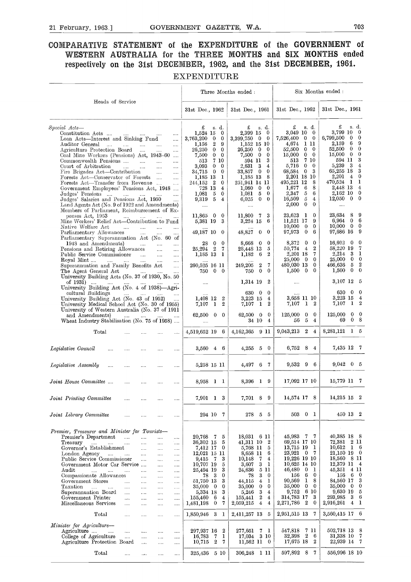## <sup>21 February, 1963.]</sup> GOVERNMENT GAZETTE, W.A. 703<br>COMPARATIVE STATEMENT of the EXPENDITURE of the GOVERNMENT of **COMPARATIVE STATEMENT of the EXPENDITURE of the GOVERNMENT of WESTERN AUSTRALIA for the THREE MONTHS and SIX MONTHS ended respectively on the 31st DECEMBER, 1962, and the 31st DECEMBER, 1961.**

#### EXPENDITURE

|                                                                                                                             |                                      |                        |                                      | Three Months ended:      |                                              |                              |                                          | Six Months ended:          |                       |                            |
|-----------------------------------------------------------------------------------------------------------------------------|--------------------------------------|------------------------|--------------------------------------|--------------------------|----------------------------------------------|------------------------------|------------------------------------------|----------------------------|-----------------------|----------------------------|
| Heads of Service                                                                                                            |                                      | 31st Dec., 1962        |                                      | 31st Dec., 1961          |                                              | 31st Dec., 1962              |                                          | 31st Dec., 1961            |                       |                            |
| Special Acts—                                                                                                               |                                      | £                      | s d.                                 | £                        | s. d.<br>$\mathbf 0$                         | £<br>3,049 10                | s. d.<br>$\overline{0}$                  | £<br>3.799 10              | s. d.                 | - 0                        |
| Constitution Acts<br><b>Sales</b><br>$\sim 10^{-10}$<br>Loan Acts—Interest and Sinking Fund                                 | $\cdots$<br>$\sim$ . $\sim$          | 1,524 15<br>3,763,200  | $\bf{0}$<br>$\mathbf{0}$<br>0        | 2,399 15<br>3,399,750    | $\bf{0}$<br>0                                | 7,526,400                    | $\bf{0}$<br>0                            | 6,799,500                  | $\mathbf{0}$          | $\bf{0}$                   |
| Auditor General<br>$\sim 100$                                                                                               | <br>$\sim 100$                       | 1.156                  | $\boldsymbol{2}$<br>9                |                          | 1,152 15 10                                  | 4,674                        | -1 11                                    | 2,159                      | -6                    | -9                         |
| Agriculture Protection Board<br>$\sim$ . $\sim$                                                                             |                                      | 26,250                 | $\Omega$<br>$\mathbf{0}$             | $26{,}250$               | $\bf{0}$<br>$\mathbf 0$                      | 52,500                       | $\mathbf{0}$<br>$\overline{\phantom{0}}$ | 52,500                     | $\bf{0}$              | $\overline{0}$<br>$\bf{0}$ |
| Coal Mine Workers (Pensions) Act, 1943-60<br>Commonwealth Pensions                                                          | $\cdots$                             | 7,500<br>513           | $\mathbf{0}$<br>0<br>7 10            | 7,500<br>594 11          | $\bf{0}$<br>$\mathbf 0$<br>3                 | 15,000<br>513                | $\mathbf{0}$<br>$\bf{0}$<br>7 10         | 15,000<br>594 11           | $\overline{0}$        | 3                          |
| Court of Arbitration<br><b>County</b> County                                                                                | $\cdots$<br><br><br>                 | 3,093                  | $\theta$<br>$^{0}$                   | 2.631                    | 3<br>$\overline{4}$                          | 5,716                        | $\bf{0}$<br>$\bf{0}$                     | 5,239                      | - 3                   | $\bf{4}$                   |
| Fire Brigades Act—Contribution                                                                                              | $\cdots$<br>                         | 34,715                 | $\mathbf{0}$<br>0                    | 33,857                   | $\mathbf{0}$<br>$\mathbf{0}$                 | 68,584                       | 3<br>0                                   | 65,255 18                  |                       | 3                          |
| Forests Act-Conservator of Forests                                                                                          | $\cdots$                             | 1.185 13               | 1                                    | 1,185 13                 | 8                                            | 2.201 18 10                  | 8                                        | 2,201<br>470.524           | $\overline{4}$<br>- 1 | $\bf{0}$<br>1              |
| Forests Act-Transfer from Revenue<br>Government Employees' Pensions Act, 1948                                               | $\cdots$                             | 244.152 2<br>728 13    | 0<br>4                               | 251.941 14 11<br>1,080   | $\overline{0}$<br>0                          | 495.221 12<br>1.677          | 6<br>8                                   | 2,448 13                   |                       | $\overline{4}$             |
| Judges' Pensions                                                                                                            | $\cdots$                             | 1.081                  | 5<br>0                               | 1,081                    | 5<br>0                                       | 2,347                        | 5<br>6                                   | 2,162 10                   |                       | $\overline{0}$             |
| Judges' Salaries and Pensions Act, 1950                                                                                     |                                      | 9,319                  | $\overline{5}$<br>$\overline{4}$     | 6,025                    | $\mathbf{0}$<br>$\Omega$                     | 16,509                       | 5<br>$\bf{4}$                            | 12,050                     | $\overline{0}$        | $\overline{0}$             |
| Land Agents Act (No. 9 of 1922 and Amendments)<br>Members of Parliament, Reimbursement of Ex-                               |                                      | $\cdots$               |                                      | $\cdots$                 |                                              | 2,000                        | $\bf{0}$<br>$\bf{0}$                     | $\cdots$                   |                       |                            |
| penses Act, 1953<br><b>Contractor</b>                                                                                       |                                      | 11,865                 | $\Omega$<br>$\overline{\phantom{0}}$ | 11,800                   | 3<br>7                                       | 23,623                       | $\mathbf{1}$<br>0                        | 23.634                     | 8                     | 9                          |
| Mine Workers' Relief Act—Contribution to Fund                                                                               |                                      | 5,381 19               | 3                                    | 3,224 15                 | 6                                            | 11,521 17                    | 9                                        | 6.964                      | 0                     | - 6                        |
| Native Welfare Act<br>$\sim$ $\sim$ $\sim$<br>$\ddotsc$                                                                     | $\cdots$<br>$\cdots$                 |                        |                                      |                          |                                              | 10,000                       | $\bf{0}$<br>$\bf{0}$                     | 10,000                     | $0\quad 0$            | -9                         |
| Parliamentary Allowances<br>Parliamentary Superannuation Act (No. 60 of                                                     |                                      | 49,187 10              | $\theta$                             | 48,827                   | 0<br>$\bf{0}$                                | 97.973                       | 6<br>$\bf{0}$                            | 97,686 16                  |                       |                            |
| 1948 and Amendments)<br><b>Contractor</b>                                                                                   | $\ddotsc$<br>$\cdots$                | 28                     | $\bf{0}$<br>$\bf{0}$                 | 8.668                    | 0<br>0                                       | 8,372                        | $\mathbf{0}$<br>$\bf{0}$                 | 16.692                     | $\bf{0}$              | $\bf{0}$                   |
| Pensions and Retiring Allowances                                                                                            | $\cdots$<br>                         | 25,294                 | $\mathbf{2}$<br>7                    | 28,448 13                | 5                                            | 50,774                       | $\overline{2}$<br>$\overline{4}$         | 58.220 19                  |                       | 7                          |
| Public Service Commissioner<br>$\sim 100$ km s $^{-1}$                                                                      | $\cdots$<br>                         | 1,185 13               | - 1                                  | 1,182                    | 2<br>6                                       | 2,201 18                     | 7<br>$\theta$                            | 2.214                      | 3                     | - 1<br>$0\quad 0$          |
| Royal Mint<br>$\ldots$ .<br>Superannuation and Family Benefits Act                                                          | $\cdots$<br><br>                     | 260.525 16 11          |                                      | 249,205                  | 7<br>2                                       | 25,000 0<br>480,030 13       | $\bf{0}$                                 | 25,000<br>466,636          | 5                     | $\boldsymbol{2}$           |
| The Agent General Act<br>and the contract of the contract of                                                                |                                      | 750.                   | $\mathbf{0}$<br>$\theta$             | 750                      | $\mathbf 0$<br>$\bf{0}$                      | $1,500 \quad 0$              | $\bf{0}$                                 | 1,500                      | 0                     | $\bf{0}$                   |
| University Building Acts (No. 37 of 1930, No. 50                                                                            |                                      |                        |                                      |                          |                                              |                              |                                          |                            |                       |                            |
| of 1931)<br><b>Contract</b>                                                                                                 |                                      | .                      |                                      |                          | 1,314 19 2                                   | $\cdots$                     |                                          | 3,107 12                   |                       | - 5                        |
| University Building Act (No. 4 of 1938)—Agri-<br>cultural Buildings<br>المناوي المنتقل المتناولين                           |                                      |                        |                                      | 630                      | $\overline{0}$<br>$^{0}$                     |                              |                                          | 630                        | 0                     | $\mathbf 0$                |
| University Building Act (No. 43 of 1952)                                                                                    |                                      | 1.408 12               | $\boldsymbol{2}$                     | 3,223 15                 | $\overline{4}$                               |                              | 3,658 11 10                              | 3,223 15                   |                       | $\overline{4}$             |
| University Medical School Act (No. 30 of 1955)                                                                              |                                      | 7,107                  | -1<br>$\boldsymbol{2}$               | 7,107 1                  | $\boldsymbol{2}$                             | 7,107                        | $\mathbf{1}$<br>$\boldsymbol{2}$         | 7,107                      | 1                     | $\overline{\phantom{a}2}$  |
| University of Western Australia (No. 37 of 1911                                                                             |                                      |                        |                                      |                          | $\theta$                                     |                              | 0                                        | 125,000                    | $\overline{0}$        | $\overline{\phantom{0}}$   |
| and Amendments)<br><b>County</b> County<br>Wheat Industry Stabilisation (No. 75 of 1958)                                    |                                      | 62,500<br>             | 0<br>$\bf{0}$                        | 62,500 0                 | 34 10<br>4                                   | 125,000<br>56                | $\bf{0}$<br>5<br>$\overline{4}$          | 69                         |                       | 0 <sub>8</sub>             |
| Total                                                                                                                       |                                      | 4,519,652 19           | 6                                    | 4,162,365 9 11           |                                              | 9,043,213                    | $\overline{2}$<br>$\bf{4}$               | 8,281,121 1 5              |                       |                            |
|                                                                                                                             |                                      |                        |                                      |                          |                                              |                              |                                          |                            |                       |                            |
| Legislative Council<br>                                                                                                     |                                      | 3,560                  | $4\quad 6$                           | 4,255                    | 50                                           | 6,752                        | 8<br>$\frac{4}{3}$                       | 7,435 12 7                 |                       |                            |
|                                                                                                                             |                                      |                        |                                      |                          |                                              |                              |                                          |                            |                       |                            |
| Legislative Assembly<br><br>                                                                                                | <br>                                 | 5,258 15 11            |                                      | 4,497                    | 6 7                                          | 9,532                        | -9<br>- 6                                | $9,042$ 0 5                |                       |                            |
|                                                                                                                             |                                      |                        |                                      |                          |                                              |                              |                                          |                            |                       |                            |
| Joint House Committee<br>$\cdots$                                                                                           |                                      | 8,958 1                | - 1                                  |                          | 8,396 1 9                                    | 17,092 17 10                 |                                          | 15,779 11 7                |                       |                            |
|                                                                                                                             |                                      |                        |                                      |                          |                                              |                              |                                          |                            |                       |                            |
| Joint Printing Committee                                                                                                    |                                      | 7,901 1 3              |                                      |                          | 7,701 8 9                                    | 14,574 17 8                  |                                          | $14,215$ 15 $2$            |                       |                            |
|                                                                                                                             |                                      |                        |                                      |                          |                                              |                              |                                          |                            |                       |                            |
|                                                                                                                             |                                      |                        |                                      |                          |                                              |                              | 503 O 1                                  | 450 13 2                   |                       |                            |
| Joint Library Committee                                                                                                     | $\cdots$                             |                        | 294 10 7                             |                          | 278 5 5                                      |                              |                                          |                            |                       |                            |
|                                                                                                                             |                                      |                        |                                      |                          |                                              |                              |                                          |                            |                       |                            |
| Premier, Treasurer and Minister for Tourists-                                                                               |                                      |                        |                                      |                          |                                              | 45,983 7 7                   |                                          | 40,385 18 8                |                       |                            |
| Premier's Department<br>$\sim$ 1000 $\sim$<br>$\cdots$<br>Treasury<br>$\cdots$<br>$\cdots$<br><b>Security</b><br>$\sim 100$ | <br>$\cdots$<br><br>$\ldots$         | 20,768 7<br>36,302 15  | 5<br>5                               | 18,031 6 11<br>41,311 10 | $\boldsymbol{2}$                             | 69,514 17 10                 |                                          | 72,381                     | 2 11                  |                            |
| Governor's Establishment<br>$\cdots$                                                                                        | <br>$\ldots$                         | 7,412 17               | -0                                   | 5,768 11                 | 5                                            | 13,715 19 1                  |                                          | 10,612                     | 1 6                   |                            |
| London Agency<br><br>$\cdots$                                                                                               | <br>$\cdots$                         | 12,021 15 11           |                                      | 8,658 11                 | 6                                            | 23,921                       | 0 <sub>7</sub>                           | 21,150 19 0                |                       |                            |
| Public Service Commissioner<br>$\cdots$                                                                                     | $\ldots$<br>$\ldots$                 | 9,415                  | $\overline{7}$<br>3                  | 10,148                   | 7<br>4<br>1                                  | 19,226 19 10<br>10,625 14 10 |                                          | 18,560                     | 8 11                  |                            |
| Government Motor Car Service<br>Audit<br>$\sim$<br>$\cdots$<br><br>$\cdots$                                                 | $\cdots$<br>$\ldots$                 | 10,707 19<br>25,494 19 | 5<br>3                               | 3,607<br>24,636          | 3<br>511                                     | 46,480                       | 0 <sub>1</sub>                           | 12,379 11 4<br>45,351      | 411                   |                            |
| Compassionate Allowances<br>                                                                                                | <br>$\cdots$<br>$\cdots$<br>$\ldots$ |                        | 78 3<br>0                            | 78                       | 3<br>0                                       | 156                          | 6<br>0                                   | 156                        | $6\quad 0$            |                            |
| Government Stores<br>a.<br>                                                                                                 | $\cdots$<br>                         | 51,750 13              | 3                                    | 44.115                   | 1<br>$\overline{4}$                          | 90,569                       | 1<br>8                                   | 84,560 17                  |                       | $\overline{\mathbf{3}}$    |
| Taxation<br><b>College</b><br>$\cdots$<br>$\cdots$<br>$\cdots$                                                              | $\cdots$<br>$\ldots$                 | 35,000                 | $\overline{0}$<br>0                  | 35,000                   | 0<br>0                                       | 35,000                       | $\bf{0}$<br>$\mathbf 0$<br>6 10          | 35,000 0 0<br>9,630 19     |                       | - 5                        |
| Superannuation Board<br>$\cdots$<br>$\cdots$<br>Government Printer<br>$\cdots$<br>$\ldots$ .                                | $\sim$ .<br>$\sim$                   | 5,334 18<br>155,460    | 3<br>- 6<br>$\bf{4}$                 | 5,246<br>155,441         | 3<br>4<br>$\boldsymbol{2}$<br>$\overline{4}$ | 9,752<br>314,783 17          | 3                                        | 293,985                    |                       | 36                         |
| Miscellaneous Services<br>$\cdots$<br>$\ldots$                                                                              | <br>$\cdots$<br>$\cdots$<br>         | 1,481,198              | 7<br>$\bf{0}$                        | 2,059,215                | $\bf{4}$<br>4                                | 2,271,786                    | $\mathbf{2}$<br>0                        | 2,916,261                  |                       | $4\quad 1$                 |
|                                                                                                                             |                                      |                        |                                      |                          |                                              |                              |                                          |                            |                       |                            |
| Total<br>$\ldots$ .<br>$\sim 100$                                                                                           | $\ldots$<br>$\ldots$                 | 1,850,946 3            | -1                                   | 2,411,257 13 5           |                                              | 2,951,515 13 7               |                                          | 3,560,415 17 6             |                       |                            |
| Minister for Agriculture-                                                                                                   |                                      |                        |                                      |                          |                                              |                              |                                          |                            |                       |                            |
| Agriculture<br>$\sim 100$ km $^{-1}$<br>$\bar{r}_{\rm{max}}$<br>$\cdots$                                                    | <br>                                 | 297,937 16             | 2                                    | 277,651                  | 7.<br>$\mathbf{1}$                           | 547,818                      | 7 11                                     | 502,718 13 8               |                       |                            |
| College of Agriculture<br>$\cdots$<br>$\cdots$<br>Agriculture Protection Board<br>$\cdots$                                  | $\cdots$<br><br>$\cdots$             | 16,783<br>10,715       | 1<br>7<br>$\boldsymbol{2}$           | 17,034<br>7              | 3 10<br>$11,562$ 11 0                        | 32,398<br>17,675 18          | $\overline{2}$<br>-6<br>$\boldsymbol{2}$ | 31,338 10 7<br>22,939 14 7 |                       |                            |
|                                                                                                                             | $\cdots$                             |                        |                                      |                          |                                              |                              |                                          |                            |                       |                            |
| $_{\rm Total}$<br><br>                                                                                                      | <br>$\cdots$                         | 325,436 5 10           |                                      | 306,248 1 11             |                                              | 597,892 8                    | -7                                       | 556,996 18 10              |                       |                            |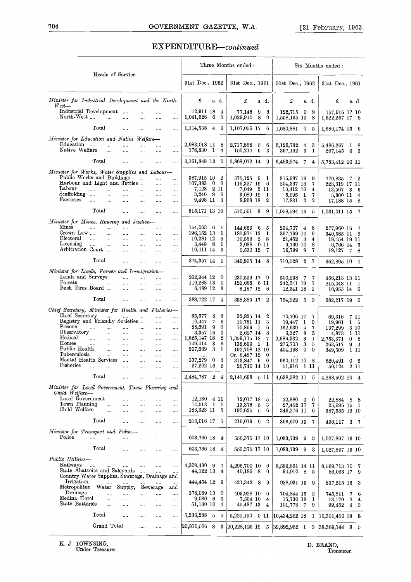# TO4 GOVERNMENT GAZETTE, W.A. [21 February, 1963.]<br>EXPENDITURE—continued EXPENDITURE-continued

|                                                                                                               |                      |                          |                      |                      |                                |              |                                      | Three Months ended :           |              |                       |                                       |                         |                          | Six Months ended:                  |    |                |
|---------------------------------------------------------------------------------------------------------------|----------------------|--------------------------|----------------------|----------------------|--------------------------------|--------------|--------------------------------------|--------------------------------|--------------|-----------------------|---------------------------------------|-------------------------|--------------------------|------------------------------------|----|----------------|
| Heads of Service                                                                                              |                      |                          |                      |                      | 31st Dec., 1962                |              |                                      | 31st Dec., 1961                |              |                       | 31st Dec., 1962                       |                         |                          | 31st Dec., 1961                    |    |                |
| Minister for Industrial Development and the North-<br>$\mathit{West}$                                         |                      |                          |                      |                      | £                              |              | s. d.                                | £                              |              | s. d.                 | £                                     | s. d.                   |                          | £                                  |    | s. d.          |
| Industrial Development<br>North-West <sup>-</sup>                                                             | $\cdots$<br>$\cdots$ | $\cdots$<br>$\cdots$     | <br>$\ldots$         | <br>$\cdots$         | 72,911 18<br>1,041,626         | 6            | 4<br>5                               | 77,146<br>1,029,910            | 9<br>8       | 6<br>$\bf{0}$         | 122,715<br>1,558,165 19               | $\bf{0}$                | 9<br>8                   | 157,916 17 10<br>1,522,257 17 8    |    |                |
| Total                                                                                                         | $\cdots$             | $\cdots$                 | $\cdots$             |                      | 1,114,538 4                    |              | -9                                   | 1,107,056 17                   |              | 6                     | 1,680,881                             | $\bf{0}$                | 5                        | $1,680,174$ 15 6                   |    |                |
| Minister for Education and Native Welfare-<br>Education<br>$\cdots$<br>$\cdots$<br>Native Welfare<br>$\cdots$ | <br>$\cdots$         | $\cdots$<br>             | $\cdots$<br>$\cdots$ | <br>$\cdots$         | 2,983,018 11<br>178,830 1      |              | 8<br>4                               | 2,717,858<br>150,214           | 5<br>9       | 6<br>3                | 6,126,782<br>367,192                  | 4<br>3                  | 3<br>1                   | 5,486,267<br>297,145               |    | 1 8<br>9 3     |
| Total                                                                                                         |                      | $\cdots$                 |                      |                      | 3,161,848 13                   |              | $\bf{0}$                             | 2,868,072 14 9                 |              |                       | 6,493,974 7                           |                         | 4                        | 5,783,412 10 11                    |    |                |
| Minister for Works, Water Supplies and Labour-                                                                |                      |                          |                      |                      |                                |              |                                      |                                |              |                       |                                       |                         |                          |                                    |    |                |
| Public Works and Buildings<br>Harbour and Light and Jetties<br>Labour<br>$\cdots$<br>$\cdots$<br>Scaffolding  |                      | $\cdots$<br>$\cdots$     | <br>$\cdots$<br>     | <br><br>             | 387,915 10<br>107,383<br>7,128 | $\bf{0}$     | $\boldsymbol{2}$<br>$\bf{0}$<br>2 11 | 375.125<br>116,327 19<br>7.049 | - 9          | 1<br>6<br>2 11        | 816,987 18<br>204,367 16<br>13,412 16 |                         | 9<br>7<br>$\overline{4}$ | 770,835<br>223,619 17 11<br>13,567 | 36 | $7\quad 2$     |
| $\sim$<br>$\cdots$<br>Factories<br>$\cdots$<br>$\cdots$                                                       | $\cdots$<br>$\ldots$ | $\cdots$<br>$\dots$      | $\cdots$<br>$\cdots$ | <br>                 | 3,246<br>9,498 11              | -9           | 6<br>3                               | 3,089 19<br>8,968 18           |              | 1<br>$\boldsymbol{2}$ | 5,995<br>17,831                       | - 1<br>$\boldsymbol{2}$ | 7<br>$\mathbf{2}$        | 5,800 11<br>17,188 15 8            |    | $\overline{4}$ |
| Total                                                                                                         | $\cdots$             | $\cdots$                 |                      |                      | 515,171 13 10                  |              |                                      | 510,561 8                      |              | 9                     | 1,058,594 15                          |                         | 5                        | 1,031,011 15                       |    | $\overline{7}$ |
| Minister for Mines, Housing and Justice-                                                                      |                      |                          |                      |                      |                                |              |                                      |                                |              |                       |                                       |                         |                          |                                    |    |                |
| Mines<br>$\cdots$<br>$\cdots$<br>Crown Law<br>$\cdots$                                                        | $\cdots$<br>$\cdots$ | $\cdots$<br>$\cdots$     | <br>$\cdots$         | <br>$\cdots$         | 154,063 6<br>196,152 13        |              | 1<br>1                               | 144,653<br>181.974 12          | - 6          | 5<br>1                | 294,707<br>367,799 14                 | $4\overline{ }$         | 6<br>6                   | 277,960 16 7<br>340,585 11 9       |    |                |
| Electoral<br>$\sim$ $\sim$<br>$\ldots$<br>Licensing                                                           | $\ldots$             | $\ldots$                 |                      | $\ldots$             | 10,281 12<br>3,448             |              | 5                                    | 10,559                         | 2            | -8                    | 21,452                                | 3                       | 4                        | 18,454 19 11                       |    |                |
| $\cdots$<br>$\cdots$<br>Arbitration Court                                                                     | $\cdots$<br>$\cdots$ | $\cdots$<br>$\cdots$     | $\ldots$<br>$\cdots$ | <br>$\cdots$         | 10,411 14                      | - 8          | 1<br>5                               | 3,088<br>9,530 12              | $0\,11$      | -7                    | 6,769 10<br>19,799                    | 9                       | 8<br>7                   | 6,766 14 5<br>19,127               |    | 78             |
| Total                                                                                                         | $\cdots$             |                          |                      |                      | 374,357 14                     |              | - 1                                  | 349,805 14 8                   |              |                       | 710,528 2                             |                         | 7                        | 662,895 10 4                       |    |                |
| Minister for Lands, Forests and Immigration-<br>Lands and Surveys<br>Forests<br>                              | $\cdots$<br>$\cdots$ | $\ldots$<br>$\cdots$     | <br>$\cdots$         | <br>$\cdots$         | 262,944 12<br>119,288 13       |              | $\bf{0}$<br>1                        | 230,529 17<br>121,668 6 11     |              | - 9                   | 500,238<br>242,341 19                 | -7                      | 7<br>7                   | 456,213 13 11<br>215,048 11 1      |    |                |
| Bush Fires Board                                                                                              | $\cdots$             | $\dots$ .                | $\cdots$             |                      | 6,489 12                       |              | 3                                    | 6,187 12                       |              | -6                    | 12,341 18                             |                         | 1                        | 10,955 14 0                        |    |                |
| Total                                                                                                         | $\cdots$             | $\ldots$                 | $\cdots$             |                      | 388,722 17                     |              | 4                                    | 358,385 17                     |              | 2                     | 754,922 5                             |                         | 3                        | 682,217 19 0                       |    |                |
| Chief Secretary, Minister for Health and Fisheries-<br>Chief Secretary<br>$\sim$ $\sim$                       | $\sim 10^{-10}$      |                          | $\cdots$             | $\cdots$             | 35,577                         | 8            | 6                                    | 32,825 14                      |              | 2                     | 70,706 17                             |                         | 7                        |                                    |    |                |
| Registry and Friendly Societies                                                                               |                      |                          | $\cdots$             |                      | 10,447                         | 7            | 6                                    | 10,751 11                      |              | 3                     | 19,447                                | 1                       | 9                        | 69,316<br>19,901                   |    | 7 11<br>1 5    |
| Prisons<br>$\cdots$<br>$\cdots$<br>Observatory<br>$\cdots$                                                    | $\cdots$<br>$\cdots$ | $\cdots$<br>$\cdots$     | $\cdots$<br>$\cdots$ | <br>$\cdots$         | 88,691<br>3,357 16             | 9            | 0<br>2                               | 70,869 1<br>2,627 14           |              | 6<br>8                | 162,639<br>6,327                      | 4<br>8                  | 7<br>5                   | 137,299<br>4,873                   |    | 3 10<br>1 11   |
| Medical<br>$\ldots$<br>$\cdots$<br>Homes<br>$\cdots$<br>$\cdots$                                              | $\ldots$             | $\dots$                  | $\ldots$             | $\ldots$             | 1,625,147 18<br>149,414        | 3            | $\boldsymbol{2}$<br>6                | 1,359,115 18                   | $\mathbf{1}$ | 7<br>ı                | 2,986,332                             | 3<br>3                  | 1                        | 2,753,371                          | 0  | - 8            |
| Public Health<br>$\cdots$                                                                                     | $\cdots$<br>$\cdots$ | $\cdots$<br>$\cdots$     | $\cdots$<br>$\cdots$ | $\ldots$<br>$\cdots$ | 207,669                        | 3            | 1                                    | 138,699<br>192,708 12 10       |              |                       | 276,703<br>404,198                    | 0                       | 5<br>$\mathbf{0}$        | 263,617<br>349,509                 |    | 94<br>1 11     |
| Tuberculosis<br>$\cdots$<br>Mental Health Services                                                            | $\cdots$<br>$\cdots$ | <br>                     | $\cdots$<br>         | $\cdots$<br>         | 337,279                        | 0            | 3                                    | Cr. 6,487 12<br>313,847 9      |              | 0<br>$\mathbf{0}$     | 660,112 10 8                          |                         |                          | 620,491                            |    | 0 <sub>5</sub> |
| Fisheries                                                                                                     |                      |                          |                      |                      | 27,202 16                      |              | $^{2}$                               | 26,740 14 10                   |              |                       | 51,916 1 11                           |                         |                          | 50,124 2 11                        |    |                |
| Total                                                                                                         |                      |                          |                      |                      | 2,484,787 2 4                  |              |                                      | 2,141,698 5 11                 |              |                       | 4,638,382 11 5                        |                         |                          | 4,268,502 10 4                     |    |                |
| Minister for Local Government, Town Planning and<br>Child Welfare-                                            |                      |                          |                      |                      |                                |              |                                      |                                |              |                       |                                       |                         |                          |                                    |    |                |
| Local Government<br>Town Planning                                                                             |                      | .                        |                      |                      | 12,180 4 11                    |              |                                      | 12,017 18                      |              | 5                     | 22,880 4                              |                         | 6                        | 22,884 8 8                         |    |                |
| $\cdots$<br>Child Welfare<br>$\cdots$                                                                         | <br>                 | $\cdots$<br>             | <br>                 | <br>                 | 14,513<br>183,323 11           | $\mathbf{1}$ | -1<br>5                              | 13,376<br>190.625              | 5<br>5       | 3<br>6                | 27,452 17<br>346,276 11               |                         | 7<br>6                   | 25,696 15 1<br>387,535 19 10       |    |                |
| Total                                                                                                         |                      | $\cdots$                 |                      |                      | 210,016 17 5                   |              |                                      | 216,019 9 2                    |              |                       | 396,609 13                            |                         | 7                        | 436,117 3 7                        |    |                |
| Minister for Transport and Police-<br>Police<br>$\cdots$<br>$\cdots$                                          |                      |                          |                      |                      | 603,766 18                     |              | 4                                    | 550,375 17 10                  |              |                       | 1,083,739                             | 9                       | 3                        | 1,027,897 13 10                    |    |                |
| Total                                                                                                         | $\cdots$             |                          | $\cdots$             | $\cdots$             | 603,766 18                     |              | $\overline{4}$                       | 550,375 17 10                  |              |                       | 1,083,739                             | 9                       | 3                        | 1,027,897 13 10                    |    |                |
| Public Utilities-                                                                                             |                      |                          |                      |                      |                                |              |                                      |                                |              |                       |                                       |                         |                          |                                    |    |                |
| Railways<br><br>State Abattoirs and Saleyards                                                                 |                      | $\overline{\phantom{a}}$ | <br>$\cdots$         | <br>                 | 4,309,430 9<br>44,122 13       |              | 7<br>4                               | 4,296,700 10 0<br>40,186 8     |              | $^{0}$                | 8,589,861 14 11<br>94,010 8           |                         | - 5                      | 8,569,713 10 7<br>86,093 17 9      |    |                |
| Country Water Supplies, Sewerage, Drainage and<br>Irrigation                                                  |                      |                          |                      |                      | 444,454 12                     |              | 9                                    | 421,342 8                      |              | 9                     | 928,031 13                            |                         | 9                        | 837,215 16 3                       |    |                |
| Metropolitan Water<br>Drainage<br>$\cdots$                                                                    | Supply,<br>$\cdots$  |                          | Sewerage<br>         | and<br>              | 378,069 13                     |              | $\bf{0}$                             | 409,928 10                     |              | 6                     | 704,844 15                            |                         | $\boldsymbol{2}$         | 745,811                            |    | $7\quad 6$     |
| Medina Hotel<br>$\cdots$<br>State Batteries                                                                   | $\cdots$             |                          | $\cdots$             | $\ldots$             | $9,080 \quad 6$                |              | 5                                    | 7,504 10                       |              | 4                     | 15,730 18                             |                         | 1                        | 13,170                             |    | 24             |
| $\cdots$                                                                                                      |                      |                          |                      | $\ldots$             | 51,130 10                      |              | 4                                    | 45,487 13                      |              | 4                     | 101,773 7                             |                         | 9                        | 99,452                             |    | $4 \quad 3$    |
| Total<br>Grand Total                                                                                          |                      | $\cdots$                 |                      |                      | 5,236,288                      | 5            | 5                                    | 5,221,150 0 11                 |              |                       | 10,434,252 18                         |                         |                          | $1 \mid 10,351,456 \mid 18 \mid 8$ |    |                |
|                                                                                                               |                      | $\ldots$                 |                      |                      | 20,811,506 8                   |              | 3                                    | $ 20, 228, 125 \t19$           |              | 5                     | $ 39,892,962 \quad 1$                 |                         |                          | $3 38,369,144$ 8 5                 |    |                |
| K. J. TOWNSING,<br>Under Treasurer.                                                                           |                      |                          |                      |                      |                                |              |                                      |                                |              |                       |                                       |                         |                          | D. BRAND,<br>Treasurer.            |    |                |
|                                                                                                               |                      |                          |                      |                      |                                |              |                                      |                                |              |                       |                                       |                         |                          |                                    |    |                |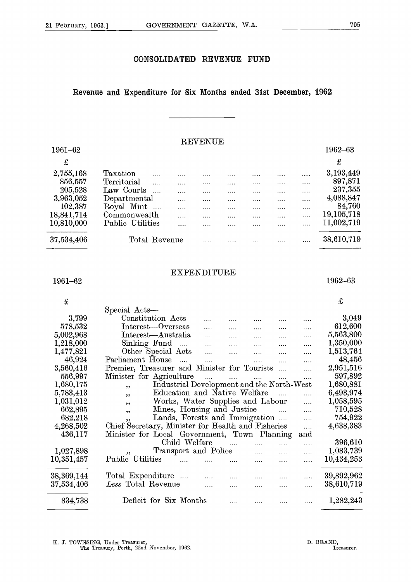#### **CONSOLIDATED REVENUE FUND**

#### **Revenue and Expenditure for Six Months ended 31st December, 1962**

#### **REVENUE**

|                |                                                                  |               | CONSOLIDATED REVENUE | <b>FUND</b> |                          |
|----------------|------------------------------------------------------------------|---------------|----------------------|-------------|--------------------------|
|                | Revenue and Expenditure for Six Months ended 31st December, 1962 |               |                      |             |                          |
| 1961-62        |                                                                  |               | <b>REVENUE</b>       |             | 1962-63<br>£             |
| £<br>2,755,168 | Taxation                                                         |               |                      |             | 3,193,449                |
| 856,557        | Territorial                                                      |               |                      |             | 897,871                  |
| 205,528        | Law Courts                                                       | $\mathbf{1}$  |                      |             | 237,355                  |
| 3,963,052      | Departmental                                                     |               |                      |             | 4,088,847                |
| 102,387        | Royal Mint                                                       | $\ldots$      |                      |             | 84,760                   |
| 18,841,714     | Commonwealth                                                     |               |                      |             | 19,105,718<br>11,002,719 |
| 10,810,000     | Public Utilities                                                 |               |                      |             |                          |
| 37,534,406     |                                                                  | Total Revenue |                      |             | 38,610,719               |
|                |                                                                  |               |                      |             |                          |

#### **EXPENDITURE**

| 21 February, 1963.]<br>GOVERNMENT GAZETTE, W.A.<br>CONSOLIDATED REVENUE<br><b>FUND</b><br>Revenue and Expenditure for Six Months ended 31st December, 1962<br><b>REVENUE</b><br>1961-62<br>$\mathbf f$<br>2,755,168<br>Taxation<br>$\cdots$<br>856,557<br>Territorial<br>$\ldots$<br>$\ldots$ .<br>$\cdots$<br>$\dots$ .<br>$\cdots$<br>$\cdots$<br>.<br>205,528<br>Law Courts<br>$\cdots$<br>$\ldots$<br>.<br>.<br><br><br>.<br>3,963,052<br>Departmental<br>.<br>.<br>.<br>.<br><br><br>102,387<br>Royal Mint<br>$\ldots$<br>.<br><br>$\cdots$<br>$\cdots$<br>.<br>.<br>18,841,714<br>Commonwealth<br>.<br>$\ldots$<br>.<br><br>.<br><br>10,810,000<br>Public Utilities<br>$\cdots$<br>.<br><br><br><br><br>37,534,406<br>Total Revenue<br>.<br><br>.<br>.<br><b>EXPENDITURE</b><br>1961-62<br>$\pounds$<br>Special Acts-<br>Constitution Acts<br>3,799<br>.<br>578,532<br>Interest-Overseas<br>.<br><br>5,002,968<br>Interest—Australia<br>.<br><br>$\cdots$<br><br>Sinking Fund<br>1,218,000<br>$\mathbf{1}$<br>.<br>.<br>$\cdots$<br><br>1,477,821<br>Other Special Acts<br>$\ddotsc$<br>.<br><br>.<br>46,924<br>Parliament House<br>$\cdots$<br>$\cdots$<br>.<br>.<br>3,560,416<br>Premier, Treasurer and Minister for Tourists<br>$\ldots$<br>$\cdots$<br>556,997<br>Minister for Agriculture<br>$\cdots$<br>1,680,175<br>Industrial Development and the North-West<br>, ,<br>Education and Native Welfare<br>5,783,413<br>$\cdots$<br>,,<br>Works, Water Supplies and Labour<br>1,031,012<br>.<br>,,<br>662,895<br>Mines, Housing and Justice<br>$\cdots$<br>,,<br>Lands, Forests and Immigration<br>682,218<br>$\cdots$<br>,,<br>Chief Secretary, Minister for Health and Fisheries<br>4,268,502<br>$\ldots$<br>Minister for Local Government, Town Planning<br>436,117<br>and<br>Child Welfare<br>$\ldots$<br>.<br>Transport and Police<br>1,027,898<br>.<br><br>,,<br>Public Utilities<br>10,351,457<br>$\cdots$<br> | 705                  |  |
|---------------------------------------------------------------------------------------------------------------------------------------------------------------------------------------------------------------------------------------------------------------------------------------------------------------------------------------------------------------------------------------------------------------------------------------------------------------------------------------------------------------------------------------------------------------------------------------------------------------------------------------------------------------------------------------------------------------------------------------------------------------------------------------------------------------------------------------------------------------------------------------------------------------------------------------------------------------------------------------------------------------------------------------------------------------------------------------------------------------------------------------------------------------------------------------------------------------------------------------------------------------------------------------------------------------------------------------------------------------------------------------------------------------------------------------------------------------------------------------------------------------------------------------------------------------------------------------------------------------------------------------------------------------------------------------------------------------------------------------------------------------------------------------------------------------------------------------------------------------------------------------------------------------------------------|----------------------|--|
|                                                                                                                                                                                                                                                                                                                                                                                                                                                                                                                                                                                                                                                                                                                                                                                                                                                                                                                                                                                                                                                                                                                                                                                                                                                                                                                                                                                                                                                                                                                                                                                                                                                                                                                                                                                                                                                                                                                                 |                      |  |
|                                                                                                                                                                                                                                                                                                                                                                                                                                                                                                                                                                                                                                                                                                                                                                                                                                                                                                                                                                                                                                                                                                                                                                                                                                                                                                                                                                                                                                                                                                                                                                                                                                                                                                                                                                                                                                                                                                                                 |                      |  |
|                                                                                                                                                                                                                                                                                                                                                                                                                                                                                                                                                                                                                                                                                                                                                                                                                                                                                                                                                                                                                                                                                                                                                                                                                                                                                                                                                                                                                                                                                                                                                                                                                                                                                                                                                                                                                                                                                                                                 |                      |  |
|                                                                                                                                                                                                                                                                                                                                                                                                                                                                                                                                                                                                                                                                                                                                                                                                                                                                                                                                                                                                                                                                                                                                                                                                                                                                                                                                                                                                                                                                                                                                                                                                                                                                                                                                                                                                                                                                                                                                 |                      |  |
|                                                                                                                                                                                                                                                                                                                                                                                                                                                                                                                                                                                                                                                                                                                                                                                                                                                                                                                                                                                                                                                                                                                                                                                                                                                                                                                                                                                                                                                                                                                                                                                                                                                                                                                                                                                                                                                                                                                                 | 1962-63              |  |
|                                                                                                                                                                                                                                                                                                                                                                                                                                                                                                                                                                                                                                                                                                                                                                                                                                                                                                                                                                                                                                                                                                                                                                                                                                                                                                                                                                                                                                                                                                                                                                                                                                                                                                                                                                                                                                                                                                                                 | $\pounds$            |  |
|                                                                                                                                                                                                                                                                                                                                                                                                                                                                                                                                                                                                                                                                                                                                                                                                                                                                                                                                                                                                                                                                                                                                                                                                                                                                                                                                                                                                                                                                                                                                                                                                                                                                                                                                                                                                                                                                                                                                 | 3,193,449<br>897,871 |  |
|                                                                                                                                                                                                                                                                                                                                                                                                                                                                                                                                                                                                                                                                                                                                                                                                                                                                                                                                                                                                                                                                                                                                                                                                                                                                                                                                                                                                                                                                                                                                                                                                                                                                                                                                                                                                                                                                                                                                 | 237,355              |  |
|                                                                                                                                                                                                                                                                                                                                                                                                                                                                                                                                                                                                                                                                                                                                                                                                                                                                                                                                                                                                                                                                                                                                                                                                                                                                                                                                                                                                                                                                                                                                                                                                                                                                                                                                                                                                                                                                                                                                 | 4,088,847            |  |
|                                                                                                                                                                                                                                                                                                                                                                                                                                                                                                                                                                                                                                                                                                                                                                                                                                                                                                                                                                                                                                                                                                                                                                                                                                                                                                                                                                                                                                                                                                                                                                                                                                                                                                                                                                                                                                                                                                                                 | 84,760<br>19,105,718 |  |
|                                                                                                                                                                                                                                                                                                                                                                                                                                                                                                                                                                                                                                                                                                                                                                                                                                                                                                                                                                                                                                                                                                                                                                                                                                                                                                                                                                                                                                                                                                                                                                                                                                                                                                                                                                                                                                                                                                                                 | 11,002,719           |  |
|                                                                                                                                                                                                                                                                                                                                                                                                                                                                                                                                                                                                                                                                                                                                                                                                                                                                                                                                                                                                                                                                                                                                                                                                                                                                                                                                                                                                                                                                                                                                                                                                                                                                                                                                                                                                                                                                                                                                 | 38,610,719           |  |
|                                                                                                                                                                                                                                                                                                                                                                                                                                                                                                                                                                                                                                                                                                                                                                                                                                                                                                                                                                                                                                                                                                                                                                                                                                                                                                                                                                                                                                                                                                                                                                                                                                                                                                                                                                                                                                                                                                                                 |                      |  |
|                                                                                                                                                                                                                                                                                                                                                                                                                                                                                                                                                                                                                                                                                                                                                                                                                                                                                                                                                                                                                                                                                                                                                                                                                                                                                                                                                                                                                                                                                                                                                                                                                                                                                                                                                                                                                                                                                                                                 | 1962-63              |  |
|                                                                                                                                                                                                                                                                                                                                                                                                                                                                                                                                                                                                                                                                                                                                                                                                                                                                                                                                                                                                                                                                                                                                                                                                                                                                                                                                                                                                                                                                                                                                                                                                                                                                                                                                                                                                                                                                                                                                 | $\pounds$            |  |
|                                                                                                                                                                                                                                                                                                                                                                                                                                                                                                                                                                                                                                                                                                                                                                                                                                                                                                                                                                                                                                                                                                                                                                                                                                                                                                                                                                                                                                                                                                                                                                                                                                                                                                                                                                                                                                                                                                                                 |                      |  |
|                                                                                                                                                                                                                                                                                                                                                                                                                                                                                                                                                                                                                                                                                                                                                                                                                                                                                                                                                                                                                                                                                                                                                                                                                                                                                                                                                                                                                                                                                                                                                                                                                                                                                                                                                                                                                                                                                                                                 | 3,049<br>612,600     |  |
|                                                                                                                                                                                                                                                                                                                                                                                                                                                                                                                                                                                                                                                                                                                                                                                                                                                                                                                                                                                                                                                                                                                                                                                                                                                                                                                                                                                                                                                                                                                                                                                                                                                                                                                                                                                                                                                                                                                                 | 5,563,800            |  |
|                                                                                                                                                                                                                                                                                                                                                                                                                                                                                                                                                                                                                                                                                                                                                                                                                                                                                                                                                                                                                                                                                                                                                                                                                                                                                                                                                                                                                                                                                                                                                                                                                                                                                                                                                                                                                                                                                                                                 | 1,350,000            |  |
|                                                                                                                                                                                                                                                                                                                                                                                                                                                                                                                                                                                                                                                                                                                                                                                                                                                                                                                                                                                                                                                                                                                                                                                                                                                                                                                                                                                                                                                                                                                                                                                                                                                                                                                                                                                                                                                                                                                                 | 1,513,764<br>48,456  |  |
|                                                                                                                                                                                                                                                                                                                                                                                                                                                                                                                                                                                                                                                                                                                                                                                                                                                                                                                                                                                                                                                                                                                                                                                                                                                                                                                                                                                                                                                                                                                                                                                                                                                                                                                                                                                                                                                                                                                                 | 2,951,516            |  |
|                                                                                                                                                                                                                                                                                                                                                                                                                                                                                                                                                                                                                                                                                                                                                                                                                                                                                                                                                                                                                                                                                                                                                                                                                                                                                                                                                                                                                                                                                                                                                                                                                                                                                                                                                                                                                                                                                                                                 | 597,892<br>1,680,881 |  |
|                                                                                                                                                                                                                                                                                                                                                                                                                                                                                                                                                                                                                                                                                                                                                                                                                                                                                                                                                                                                                                                                                                                                                                                                                                                                                                                                                                                                                                                                                                                                                                                                                                                                                                                                                                                                                                                                                                                                 | 6,493,974            |  |
|                                                                                                                                                                                                                                                                                                                                                                                                                                                                                                                                                                                                                                                                                                                                                                                                                                                                                                                                                                                                                                                                                                                                                                                                                                                                                                                                                                                                                                                                                                                                                                                                                                                                                                                                                                                                                                                                                                                                 | 1,058,595            |  |
|                                                                                                                                                                                                                                                                                                                                                                                                                                                                                                                                                                                                                                                                                                                                                                                                                                                                                                                                                                                                                                                                                                                                                                                                                                                                                                                                                                                                                                                                                                                                                                                                                                                                                                                                                                                                                                                                                                                                 | 710,528<br>754,922   |  |
|                                                                                                                                                                                                                                                                                                                                                                                                                                                                                                                                                                                                                                                                                                                                                                                                                                                                                                                                                                                                                                                                                                                                                                                                                                                                                                                                                                                                                                                                                                                                                                                                                                                                                                                                                                                                                                                                                                                                 | 4,638,383            |  |
|                                                                                                                                                                                                                                                                                                                                                                                                                                                                                                                                                                                                                                                                                                                                                                                                                                                                                                                                                                                                                                                                                                                                                                                                                                                                                                                                                                                                                                                                                                                                                                                                                                                                                                                                                                                                                                                                                                                                 |                      |  |
|                                                                                                                                                                                                                                                                                                                                                                                                                                                                                                                                                                                                                                                                                                                                                                                                                                                                                                                                                                                                                                                                                                                                                                                                                                                                                                                                                                                                                                                                                                                                                                                                                                                                                                                                                                                                                                                                                                                                 | 396,610<br>1,083,739 |  |
|                                                                                                                                                                                                                                                                                                                                                                                                                                                                                                                                                                                                                                                                                                                                                                                                                                                                                                                                                                                                                                                                                                                                                                                                                                                                                                                                                                                                                                                                                                                                                                                                                                                                                                                                                                                                                                                                                                                                 | 10,434,253           |  |
| 38, 369, 144<br>Total Expenditure<br>$\cdots$<br>.                                                                                                                                                                                                                                                                                                                                                                                                                                                                                                                                                                                                                                                                                                                                                                                                                                                                                                                                                                                                                                                                                                                                                                                                                                                                                                                                                                                                                                                                                                                                                                                                                                                                                                                                                                                                                                                                              | 39,892,962           |  |
| Less Total Revenue<br>$37,\!534,\!406$<br>.<br>.<br>.                                                                                                                                                                                                                                                                                                                                                                                                                                                                                                                                                                                                                                                                                                                                                                                                                                                                                                                                                                                                                                                                                                                                                                                                                                                                                                                                                                                                                                                                                                                                                                                                                                                                                                                                                                                                                                                                           |                      |  |
| Deficit for Six Months<br>834,738<br>1,282,243<br>$\cdots$<br>$\cdots$<br>$\cdots$ .<br>$\cdots$                                                                                                                                                                                                                                                                                                                                                                                                                                                                                                                                                                                                                                                                                                                                                                                                                                                                                                                                                                                                                                                                                                                                                                                                                                                                                                                                                                                                                                                                                                                                                                                                                                                                                                                                                                                                                                | 38,610,719           |  |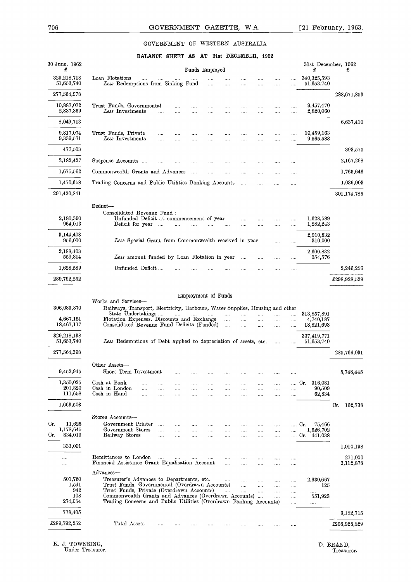# THE GOVERNMENT GAZETTE, W.A. [21 February, 1963.]<br>GOVERNMENT OF WESTERN AUSTRALIA GOVERNMENT OF WESTERN AUSTRALIA

#### **BALANCE SHEET AS AT 31st DECEMBER, 1962**

|                                              |                                                                                                                                                                                                                         |                                                              |                  | GOVERNMENT GAZETTE, W.A.        |                          |                                        |                           |                          |                   |                      |                          | $\lceil 21 \rceil$ February, 1963.       |             |
|----------------------------------------------|-------------------------------------------------------------------------------------------------------------------------------------------------------------------------------------------------------------------------|--------------------------------------------------------------|------------------|---------------------------------|--------------------------|----------------------------------------|---------------------------|--------------------------|-------------------|----------------------|--------------------------|------------------------------------------|-------------|
|                                              |                                                                                                                                                                                                                         |                                                              |                  | GOVERNMENT OF WESTERN AUSTRALIA |                          |                                        |                           |                          |                   |                      |                          |                                          |             |
|                                              |                                                                                                                                                                                                                         | BALANCE SHEET AS AT 31st DECEMBER, 1962                      |                  |                                 |                          |                                        |                           |                          |                   |                      |                          |                                          |             |
| 30 June, 1962<br>£                           |                                                                                                                                                                                                                         |                                                              |                  |                                 |                          | Funds Employed                         |                           |                          |                   |                      |                          | 31st December, 1962<br>£                 |             |
| 329,218,718<br>51,653,740<br>277,564,978     | Loan Flotations<br>Less Redemptions from Sinking Fund                                                                                                                                                                   | $\cdots$                                                     |                  |                                 | $\cdots$                 | $\cdots$<br>$\sim 10^{-1}$             | $\cdots$                  |                          |                   | .<br>                | <br>                     | $340,\!325,\!593$<br>51,653,740          |             |
| 10,887,072<br>2,837,359                      | Trust Funds, Governmental<br>$\emph{Less Investments$                                                                                                                                                                   |                                                              |                  |                                 | .                        |                                        | <br>                      | <br>                     |                   | <br>                 | $\mathbf{r}$<br>$\cdots$ | 9,457,470<br>2,820,060                   | 288,671,853 |
| 8,049,713                                    |                                                                                                                                                                                                                         |                                                              |                  |                                 |                          |                                        |                           |                          |                   |                      |                          |                                          |             |
| 9,817,074<br>9,339,571                       | Trust Funds, Private<br>Less Investments                                                                                                                                                                                |                                                              | $\cdots$         |                                 | $\cdots$                 |                                        |                           |                          |                   |                      |                          | 10,459,163<br>9,565,588                  |             |
| 477,503                                      |                                                                                                                                                                                                                         |                                                              |                  |                                 |                          |                                        |                           |                          |                   |                      |                          |                                          |             |
| 2,182,427                                    | Suspense Accounts                                                                                                                                                                                                       |                                                              |                  |                                 |                          |                                        |                           | $\cdots$                 |                   |                      |                          |                                          |             |
| 1,675,562                                    | Commonwealth Grants and Advances                                                                                                                                                                                        |                                                              |                  |                                 | $\sim$                   | $\cdots$                               | $\cdots$                  | $\cdots$                 |                   |                      |                          |                                          |             |
| 1,470,658<br>291,420,841                     | Trading Concerns and Public Utilities Banking Accounts                                                                                                                                                                  |                                                              |                  |                                 |                          |                                        |                           | $\sim 100$               | $\cdots$          |                      |                          |                                          | 301,174,785 |
| 2,180,390<br>964,013                         | Deduct-<br>Consolidated Revenue Fund:                                                                                                                                                                                   | Unfunded Deficit at commencement of year<br>Deficit for year |                  | .                               |                          |                                        |                           | <br>                     |                   | $\cdots$             | <br>$\cdots$             | 1,628,589<br>1,282,243                   |             |
| 3,144,403<br>956,000                         |                                                                                                                                                                                                                         | Less Special Grant from Commonwealth received in year        |                  |                                 |                          |                                        |                           |                          |                   |                      |                          | 2,910,832<br>310,000                     |             |
| 2,188,403<br>559,814                         |                                                                                                                                                                                                                         | Less amount funded by Loan Flotation in year                 |                  |                                 |                          |                                        |                           | $\cdots$                 |                   |                      |                          | 2,600,832<br>354,576                     |             |
| 1,628,589                                    |                                                                                                                                                                                                                         | Unfunded Deficit                                             |                  |                                 |                          |                                        |                           |                          |                   |                      |                          |                                          |             |
| 306,083,870<br>4,667,151<br>18,467,117       | Works and Services-<br>Railways, Transport, Electricity, Harbours, Water Supplies, Housing and other<br>State Undertakings<br>Flotation Expenses, Discounts and Exchange<br>Consolidated Revenue Fund Deficits (Funded) |                                                              |                  | $\cdots$                        | <b>Contract Contract</b> | <b>Employment of Funds</b><br>$\cdots$ | $\cdots$<br>$\cdots$      | $\cdots$<br>             | $\ldots$<br>      | $\cdots$<br>$\cdots$ | $\cdots$<br>.            | 313,857,891<br>4,740,187<br>18,821,693   |             |
|                                              | Less Redemptions of Debt applied to depreciation of assets, etc.                                                                                                                                                        |                                                              |                  |                                 |                          |                                        | $\cdots$                  | $\cdots$                 |                   | 1.1.1                |                          | 337,419,771                              |             |
| 329,218,138                                  |                                                                                                                                                                                                                         |                                                              |                  |                                 |                          |                                        |                           |                          |                   | $\cdots$             |                          | 51,653,740                               | 285,766,031 |
| 51,653,740<br>277,564,398                    |                                                                                                                                                                                                                         |                                                              |                  |                                 |                          |                                        |                           |                          |                   |                      |                          |                                          |             |
| 9,452,945                                    | Other Assets-<br>Short Term Investment                                                                                                                                                                                  |                                                              |                  |                                 |                          |                                        |                           |                          |                   |                      |                          | 316,081<br>Cr.                           |             |
| 1,350,025<br>201,820<br>111,658              | Cash at Bank<br>Cash in London<br>Cash in Hand                                                                                                                                                                          | $\cdots$<br>                                                 | $\cdots$<br><br> | $\cdots$<br><br>                | $\cdots$<br><br>         | $\cdots$<br>                           | $\cdots$<br><br>          | $\cdots$<br><br>$\cdots$ | <br><br>          | <br><br>             | <br>                     | 90,509<br>62,834                         |             |
| 1,663,503                                    |                                                                                                                                                                                                                         |                                                              |                  |                                 |                          |                                        |                           |                          |                   |                      |                          |                                          |             |
| Cr.<br>11,625<br>1,178,645<br>Cr.<br>834,019 | Stores Accounts-<br>Government Printer<br>Government Stores<br>Railway Stores                                                                                                                                           |                                                              | <br>$\cdots$<br> | $\cdots$<br>$\cdots$<br>        | $\cdots$<br>$\cdots$     | $\cdots$<br>$\cdots$                   | $\cdots$<br>$\cdots$<br>  | <br><br>$\cdots$         | <br><br>          | <br><br>             | 1111                     | 75,466<br>Cr.<br>1,526,702<br>Cr.441,038 |             |
| 333,001                                      |                                                                                                                                                                                                                         |                                                              |                  |                                 |                          |                                        |                           |                          |                   |                      |                          |                                          |             |
| <br>                                         | Remittances to London<br>Financial Assistance Grant Equalisation Account                                                                                                                                                |                                                              |                  |                                 |                          |                                        | $\cdots$<br>$\cdots$      | <br>                     | <br>              | <br>                 | <br>                     |                                          |             |
| 501,760<br>1,541<br>942<br>108               | Advances-<br>Treasurer's Advances to Departments, etc.<br>Trust Funds, Governmental (Overdrawn Accounts)<br>Trust Funds, Private (Overdrawn Accounts)<br>Commonwealth Grants and Advances (Overdrawn Accounts)          |                                                              |                  |                                 |                          |                                        | $\sim$ $\sim$<br>$\cdots$ | $\cdots$<br>$\cdots$<br> | .<br><br>$\cdots$ | <br>                 | <br><br>                 | 2,630,667<br>125<br>                     |             |
| 274,054                                      | Trading Concerns and Public Utilities (Overdrawn Banking Accounts)                                                                                                                                                      |                                                              |                  |                                 |                          |                                        |                           |                          |                   |                      | <br>                     | 551,923<br>                              | Cr.         |
| 778,405<br>£289,792,252                      | Total Assets                                                                                                                                                                                                            |                                                              |                  |                                 |                          |                                        |                           |                          |                   |                      |                          |                                          |             |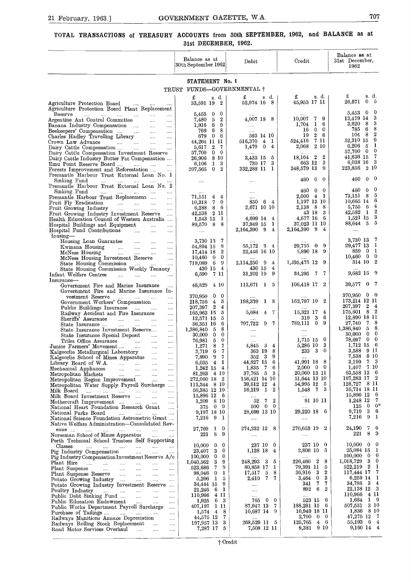## $\frac{1}{1}$ **TOTAL TRANSACTIONS of TREASURY ACCOUNTS from 30th SEPTEMBER, 1962, and BALANCE as at 31st DECEMBER, 1962.**

| 21 February, 1963.]                                                                                                                                                                                                                                                                                                                                                                                                         | GOVERNMENT GAZETTE, W.A.                                                                                                                                                                             |                                                                                                                                                      |                                                                                                                                                                       | 707                                                                                                                                                                   |
|-----------------------------------------------------------------------------------------------------------------------------------------------------------------------------------------------------------------------------------------------------------------------------------------------------------------------------------------------------------------------------------------------------------------------------|------------------------------------------------------------------------------------------------------------------------------------------------------------------------------------------------------|------------------------------------------------------------------------------------------------------------------------------------------------------|-----------------------------------------------------------------------------------------------------------------------------------------------------------------------|-----------------------------------------------------------------------------------------------------------------------------------------------------------------------|
| TOTAL TRANSACTIONS of TREASURY ACCOUNTS from 30th SEPTEMBER, 1962, and BALANCE as at                                                                                                                                                                                                                                                                                                                                        | 31st DECEMBER, 1962.                                                                                                                                                                                 |                                                                                                                                                      |                                                                                                                                                                       |                                                                                                                                                                       |
|                                                                                                                                                                                                                                                                                                                                                                                                                             | Balance as at<br>30th September 1962                                                                                                                                                                 | Debit                                                                                                                                                | Credit                                                                                                                                                                | Balance as at<br>31st December,<br>1962                                                                                                                               |
|                                                                                                                                                                                                                                                                                                                                                                                                                             | STATEMENT No. 1                                                                                                                                                                                      |                                                                                                                                                      |                                                                                                                                                                       |                                                                                                                                                                       |
|                                                                                                                                                                                                                                                                                                                                                                                                                             | TRUST FUNDS-GOVERNMENTAL +                                                                                                                                                                           |                                                                                                                                                      |                                                                                                                                                                       | s d.                                                                                                                                                                  |
| Agriculture Protection Board<br>$\sim$ 100 $\sim$<br>$\cdots$<br>Agriculture Protection Board Plant Replacement                                                                                                                                                                                                                                                                                                             | £<br>s. d.<br>33,591 19 2                                                                                                                                                                            | s d<br>£<br>52,974 16 8                                                                                                                              | s d.<br>£<br>45,953 17 11                                                                                                                                             | £<br>$\theta$<br>26,571<br>-5                                                                                                                                         |
| Reserve<br>and the state of<br>$\sim 100$<br>$\cdots$<br>$\ldots$ .<br>Argentine Ant Control Committee<br>$\sim$<br>$\cdots$<br>Banana Industry Compensation<br>$\ldots$<br>$\cdots$<br>Beekeepers' Compensation<br>$\cdots$<br>Charles Hadley Travelling Library<br>$\sim$ 1000 $\mu$<br>$\cdots$<br>Crown Law Advance<br>$\sim$ 1000 $\mu$<br>المتناد المتنادي<br>$\cdots$                                                | $\bf{0}$<br>5,453 0<br>$\overline{2}$<br>-5<br>7,480<br>-6<br>1.916<br>9<br>-6<br>8<br>769<br>$\mathbf{0}$<br>6<br>679<br>44,264 11 11                                                               | 4,007 18 8<br>$\cdots$<br>$\cdots$<br>593 14 10<br>516,370<br>$\overline{4}$<br>1                                                                    | 10,007<br>79<br>$\mathbf{1}$<br>1,704<br>6<br>$\mathbf{0}$<br>$\mathbf{0}$<br>16<br>$2\quad 6$<br>19<br>7 11<br>524,416                                               | 0<br>5,453<br>- 0<br>3<br>13,479 14<br>3<br>3,620<br>- 8<br>8<br>785<br>-6<br>$\overline{2}$<br>104 8<br>9<br>52,310 15                                               |
| Dairy Cattle Compensation<br>$\cdots$<br>Dairy Cattle Compensation Investment Reserve<br>Dairy Cattle Industry Butter Fat Compensation<br>Emu Point Reserve Board<br>Forests Improvement and Reforestation                                                                                                                                                                                                                  | $\overline{2}$<br>5,617<br>7<br>57,700<br>$\mathbf{0}$<br>$^{\circ}$<br>8 10<br>26,906<br>3<br>1<br>6,106<br>$\mathbf{0}$<br>$\boldsymbol{2}$<br>207,565                                             | 4<br>1,479<br>$^{\circ}$<br>3,433 15<br>5<br>3<br>730 17<br>332,288 11<br>- 1                                                                        | 2 10<br>2,068<br>18,164 2<br>2<br>3<br>663 12<br>348,579 13<br>9                                                                                                      | 1<br>6,206<br>- 5<br>$\bf{0}$<br>57,700 0<br>-7<br>41,636 15<br>- 3<br>6,038 16<br>2 10<br>223,856                                                                    |
| Fremantle Harbour Trust External Loan No. 1<br>Sinking Fund<br>$\cdots$<br>Fremantle Harbour Trust External Loan No. 2                                                                                                                                                                                                                                                                                                      | $\cdots$                                                                                                                                                                                             |                                                                                                                                                      | 460<br>0<br>0                                                                                                                                                         | -0<br>460<br>$\Omega$                                                                                                                                                 |
| Sinking Fund<br>$\cdots$<br><b>Contract Contract</b><br>$\cdots$<br>Fremantle Harbour Trust Replacement<br>Fruit Fly Eradication<br>$\cdots$<br>Fruit Growing Industry<br>$\cdots$<br>Fruit Growing Industry Investment Reserve<br>$\cdots$<br>Health Education Council of Western Australia<br>Hospital Buildings and Equipment<br>$\cdots$<br>$\cdots$<br>Hospital Fund Contributions<br>$\cdots$<br>$\cdots$<br>$\cdots$ | $\cdots$<br>71,151<br>$\overline{4}$<br>4<br>$\bf{0}$<br>$10,318$ 7<br>-6<br>6,288<br>8<br>42.538<br>2 11<br>1<br>1,543 13<br>89,570<br>- 8<br>-8<br>$\sim$ $\sim$                                   | $\ldots$<br>$\cdots$<br>850<br>64<br>2,671 10 10<br>$\cdots$<br>4,699 14<br>$\overline{4}$<br>37,949 15<br>-1<br>2,164,390 9<br>4                    | 460<br>$\mathbf{0}$<br>0<br>$2,000$ 4 1<br>1,197 13 10<br>2,138 8 8<br>43 18 3<br>4,677 16 6<br>37,023 11 10<br>2,164,390 9<br>4                                      | -0<br>460<br>0<br>-5<br>73.151 8<br>6<br>10,665 14<br>$\overline{4}$<br>5,755 6<br>$\boldsymbol{2}$<br>42,582 1<br>3<br>$1,521$ 15<br>88,644 5 5<br>$\cdots$          |
| Iousing-<br>Housing Loan Guarantee<br>$\sim 100$<br>$\cdots$<br>$\cdots$<br>Kwinana Housing<br>المتناول المتناول<br>McNess Housing<br>$\cdots$<br>$\cdots$<br>$\cdots$<br>$\cdots$<br>McNess Housing Investment Reserve<br>$\cdots$<br>State Housing Commission<br>المندار المندرات<br>State Housing Commission Weekly Tenancy<br>Infant Welfare Centres<br>$\cdots$<br>$\cdots$<br>$\cdots$<br>$\cdots$                    | 3,730 13<br>7<br>8<br>54,894 15<br>$\boldsymbol{2}$<br>17,414 18<br>$\bf{0}$<br>10,460<br>$\overline{0}$<br>719,089 6<br>9<br>430 15<br>4<br>6,590<br>7 11                                           | 55,172 3 4<br>22,446 16 10<br>2,114,250 9<br>- 4<br>430 15<br>4<br>31,202 19<br>- 9                                                                  | 29,755 0 9<br>5,890 18 9<br>1,395,475 12 9<br>34,295<br>- 7<br>$\mathbf{7}$                                                                                           | 3,730 13<br>- 7<br>29,477 13 1<br>- 1<br>859.<br>- 0<br>$10,460$ 0 0<br>314 10 2<br>9,682 15 9                                                                        |
| Insurance-<br>Government Fire and Marine Insurance<br>Government Fire and Marine Insurance In-<br>vestment Reserve<br>and the<br><br>Government Workers' Compensation<br>$\cdots$<br>Public Buildings Insurance<br>$\ldots$                                                                                                                                                                                                 | 46,829<br>410<br>370,950<br>$\mathbf{0}$<br>- 0<br>$\overline{4}$<br>218,756<br>5<br>207,397 2<br>4                                                                                                  | 113,671 1 5<br>198,339<br>1 8                                                                                                                        | 106,418 17 2<br>152,797 10 2                                                                                                                                          | 39,577<br>- 0<br>$370,950 \quad 0 \quad 0$<br>173,214 12 11<br>207,397 2 4                                                                                            |
| Railway Accident and Fire Insurance<br>$\cdots$<br>Sheriffs' Assurance<br>$\sim 100$<br>State Insurance<br>$\sim 100$ and $\sim 100$<br>$\sim 100$<br>State Insurance Investment Reserve<br>$\sim$ . $\sim$<br>State Insurance Special Deposit<br>$\sim$ 1000 $\sim$<br>$\cdots$                                                                                                                                            | 165,963 15 5<br>12,571 15<br>5<br>6<br>36,351 16<br>8<br>1,386,840 5<br>30,000<br>$\overline{0}$<br>$\bf{0}$                                                                                         | 5,684<br>7<br>$\overline{4}$<br>$\cdots$<br>797,722 9 7<br><br>$\sim$ $\sim$                                                                         | 15,321 17 4<br>-6<br>319 3<br>789,111 0 9<br>$\cdots$<br>$\ldots$ .                                                                                                   | 175,601 8 2<br>12,890 18 11<br>27,740 7 8<br>1,386,840 5 8<br>$30,000 \quad 0 \quad 0$                                                                                |
| Titles Office Assurance 7<br>Junior Farmers' Movement<br>$\cdots$<br>$\cdots$<br>Kalgoorlie Metallurgical Laboratory<br>$\cdots$<br>Kalgoorlie School of Mines Apparatus<br>$\sim$<br>Library Board of W.A.<br>$\ldots$<br>Mechanical Appliances<br>$\ldots$<br>Metropolitan Markets<br>$\cdots$                                                                                                                            | 76,981<br>- 5<br>$\bf{0}$<br>$\overline{7}$<br>- 8<br>1,271<br>67<br>3,719<br>7,890 9<br>7<br>$6,035 \quad 4 \quad 1$<br>$1,242$ 15 4<br>81,263 4 10                                                 | <br>$4,845$ 3<br>4<br>363 19<br>8<br>352 3<br>- 9<br>44,827 15 6<br>1,835<br>- 7<br>6<br>37,765 5<br>- 3                                             | $1,715$ 15 0<br>5,286 10 3<br>233 3<br>$\bf{0}$<br>41,991 18 8<br>$2,000 \quad 0 \quad 0$<br>20,060 13 11                                                             | 78,697 0 0<br>1,712 15 6<br>3,588 9 11<br>7,538<br>5 10<br>7 <sup>3</sup><br>3,199<br>-7 10<br>1,407<br>63,558 13 6                                                   |
| Metropolitan Region Improvement<br>$\ldots$<br>Metropolitan Water Supply Payroll Surcharge<br>Milk Board<br>Milk Board Investment Reserve<br>Mothercraft Improvement<br>National Heart Foundation Research Grant                                                                                                                                                                                                            | 272,060 18 2<br>113,344 8 10<br>50,385 12 10<br>15,896 12<br>- 6<br>$1,209$ 8 10<br>375 0<br>$\overline{0}$                                                                                          | 156,421 14 10<br>39,612 12 4<br>$16,219$ 1 2<br>$\sim 100$<br>52 7 2<br>500 0 0                                                                      | 51,644 13 10<br>54,995 12 5<br>1,548 7 3<br>$\ldots$<br>91 10 11                                                                                                      | 167,283 17 2<br>128,727 8 11<br>35,714 18 11<br>15,896 12 6<br>1,248 12<br>- 7<br>$0 \t 0^*$<br>125                                                                   |
| and the material contracts and<br>National Parks Board<br>National Science Foundation Astrometric Grant                                                                                                                                                                                                                                                                                                                     | 9,197 18 10<br>7,216 9<br>-1                                                                                                                                                                         | 28,699 13 10<br>$\ldots$                                                                                                                             | 29,220 18 6<br>$\cdots$                                                                                                                                               | $3\quad 6$<br>$9{,}719$<br>$7{,}216$<br>9 <sub>1</sub>                                                                                                                |
| Native Welfare Administration-Consolidated Rev-<br>enue<br>Norseman School of Mines Apparatus<br>$\sim$                                                                                                                                                                                                                                                                                                                     | 27,769 1<br>$\overline{0}$<br>221<br>8<br>9                                                                                                                                                          | 274,232 12 8<br>$\ldots$                                                                                                                             | 270,653 19 2<br>$\cdots$                                                                                                                                              | 76<br>24,190<br>8<br>- 9<br>221                                                                                                                                       |
| Perth Technical School Trustees Self Supporting<br>Classes<br>المماري والمماري والمماري والمماري والمماري والمما<br>Pig Industry Compensation<br>$\sim$ 100 $\mu$<br>Pig Industry Compensation Investment Reserve A/c<br>Plant Hire<br>Plant Suspense<br>Plant Suspense Reserve<br>Potato Growing Industry<br>Potato Growing Industry Investment Reserve<br>Poultry Industry                                                | $10,000 \quad 0$<br>$\bf{0}$<br>23,407 3<br>$\bf{0}$<br>$100,000 \quad 0$<br>$\overline{0}$<br>$1,040,562$ 3 9<br>523,686 7<br>-9<br>98,046 0 1<br>$5,206$ 1<br>-5<br>9<br>34,444 15<br>61<br>21,246 | 237 10 0<br>1,128 18<br>$\overline{4}$<br>248,293 3<br>5<br>80,858 17<br>1<br>17,517<br>5<br>8<br>7 <sup>7</sup><br>7<br>2,410<br>$\sim$<br>$\cdots$ | 237 10 0<br>2,806 10<br>5<br>8<br>226,460 2<br>79,391 11<br>5<br>2<br>36,916<br>- 3<br>3<br>$\mathbf{0}$<br>3,464<br>-7<br>7<br>341<br>892<br>- 6<br>$\boldsymbol{2}$ | 10,000<br>$0\quad 0$<br>25,084 15 1<br>100,000<br>$0\quad 0$<br>1,018,729<br>$3 \quad 0$<br>522,219 2 1<br>7<br>117,444 17<br>6,259 14 1<br>34,786 3 4<br>22,138 12 3 |
| Public Debt Sinking Fund<br>$\cdots$<br>Public Education Endowment<br>$\cdots$<br>Public Works Department Payroll Surcharge<br>Purchase of Tailings<br>Railways Munitions Annexe Depreciation<br>Railways Rolling Stock Replacement<br>Road Motor Services Overhaul                                                                                                                                                         | 110,966 4 11<br>6 3<br>1,925<br>407,197 1 11<br>$1,574$ 4 8<br>44,575 12<br>- 7<br>197,957 13 3<br>7,287 17 5                                                                                        | $\cdots$<br>765 0 0<br>87,947 13<br>-7<br>10,687 14 9<br>268,529 11 5<br>7,508 12 11                                                                 | $\cdots$<br>523 15 6<br>188,281 15 6<br>10,949 18 11<br>2,700<br>$0\quad 0$<br>125,765<br>$4\quad 6$<br>$9{,}381$<br>9 10                                             | 4 11<br>110,966<br>$1 \quad 9$<br>1,684<br>$507,\!531$<br>3 10<br>1,836 8 10<br>47,275 12 7<br>55,193 6 4<br>9,160 14 4                                               |
|                                                                                                                                                                                                                                                                                                                                                                                                                             | † Credit                                                                                                                                                                                             |                                                                                                                                                      |                                                                                                                                                                       |                                                                                                                                                                       |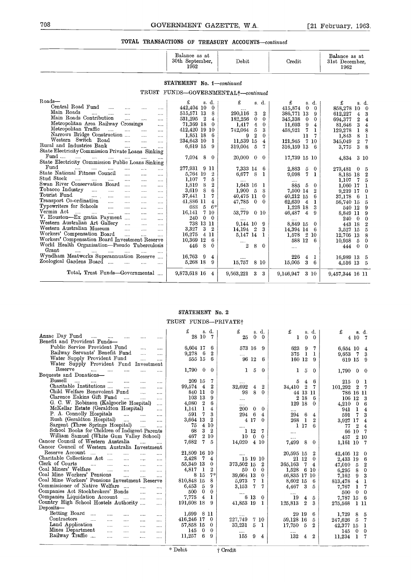#### **TOTAL TRANSACTIONS OF TREASURY ACCOUNTS-continued**

| 708                                                                                                                                                                                                                                                                                                                                                                                                                                                                                                                                                                                                                                                                                                                                                                                                                                                     | GOVERNMENT GAZETTE, W.A.                                                                                                                                                                                                                                                                                                                                                                                                            |                                                                                                                                                                                                                                                          |                                                                                                                                                                                                                                                                       | $[21$ February, 1963.                                                                                                                                                                                                                                                                                                                                                  |
|---------------------------------------------------------------------------------------------------------------------------------------------------------------------------------------------------------------------------------------------------------------------------------------------------------------------------------------------------------------------------------------------------------------------------------------------------------------------------------------------------------------------------------------------------------------------------------------------------------------------------------------------------------------------------------------------------------------------------------------------------------------------------------------------------------------------------------------------------------|-------------------------------------------------------------------------------------------------------------------------------------------------------------------------------------------------------------------------------------------------------------------------------------------------------------------------------------------------------------------------------------------------------------------------------------|----------------------------------------------------------------------------------------------------------------------------------------------------------------------------------------------------------------------------------------------------------|-----------------------------------------------------------------------------------------------------------------------------------------------------------------------------------------------------------------------------------------------------------------------|------------------------------------------------------------------------------------------------------------------------------------------------------------------------------------------------------------------------------------------------------------------------------------------------------------------------------------------------------------------------|
|                                                                                                                                                                                                                                                                                                                                                                                                                                                                                                                                                                                                                                                                                                                                                                                                                                                         | TOTAL TRANSACTIONS OF TREASURY ACCOUNTS-continued                                                                                                                                                                                                                                                                                                                                                                                   |                                                                                                                                                                                                                                                          |                                                                                                                                                                                                                                                                       |                                                                                                                                                                                                                                                                                                                                                                        |
|                                                                                                                                                                                                                                                                                                                                                                                                                                                                                                                                                                                                                                                                                                                                                                                                                                                         | Balance as at<br>30th September,<br>1962                                                                                                                                                                                                                                                                                                                                                                                            | $\bold{Debit}$                                                                                                                                                                                                                                           | Credit                                                                                                                                                                                                                                                                | Balance as at<br>31st December,<br>1962                                                                                                                                                                                                                                                                                                                                |
|                                                                                                                                                                                                                                                                                                                                                                                                                                                                                                                                                                                                                                                                                                                                                                                                                                                         | STATEMENT No. 1-continued                                                                                                                                                                                                                                                                                                                                                                                                           |                                                                                                                                                                                                                                                          |                                                                                                                                                                                                                                                                       |                                                                                                                                                                                                                                                                                                                                                                        |
|                                                                                                                                                                                                                                                                                                                                                                                                                                                                                                                                                                                                                                                                                                                                                                                                                                                         | TRUST FUNDS-GOVERNMENTAL+-continued                                                                                                                                                                                                                                                                                                                                                                                                 |                                                                                                                                                                                                                                                          |                                                                                                                                                                                                                                                                       |                                                                                                                                                                                                                                                                                                                                                                        |
| Roads—<br>Central Road Fund<br>$\cdots$<br>Main Roads<br><br><br>Main Roads Contribution<br>$\cdots$<br>$\cdots$<br>Metropolitan Area Railway Crossings<br>Metropolitan Traffic<br>$\cdots$<br>Narrows Bridge Construction<br>$\cdots$<br>Western Switch Road<br>$\cdots$<br>$\cdots$<br>Rural and Industries Bank<br><br>State Electricity Commission Private Loans Sinking                                                                                                                                                                                                                                                                                                                                                                                                                                                                            | £<br>s. d.<br>442,404 10<br>$\overline{0}$<br>515,571 13<br>8<br>$\cdots$<br>$531,295$ 2<br>4<br><br>71,369 18<br>$\overline{0}$<br>$\cdots$<br>412,420 19 10<br>$\cdots$<br>1,851 18<br>6<br><br>234,643 10<br>1<br>$\cdots$<br>6,619 15<br>9<br>                                                                                                                                                                                  | £<br>s. d.<br>290,116<br>3<br>2<br>182,256<br>$\bf{0}$<br>$\theta$<br>1,417<br>$\overline{0}$<br>4<br>5<br>3<br>742,064<br>$\boldsymbol{2}$<br>9<br>$\bf{0}$<br>11,539 15<br>$\overline{4}$<br>319,004<br>5<br>7                                         | £<br>s. d.<br>415,874<br>$^{0}$<br>$\Omega$<br>386,771 13<br>9<br>0<br>345,338<br>0<br>9<br>11,693<br>4<br>7<br>458,921<br>1<br>11<br>7<br>121,945<br>7 10<br>316,159 13<br>6                                                                                         | £<br>s. d.<br>858,278 10<br>$\mathbf{0}$<br>612,227<br>3<br>4<br>$\,2\,$<br>$\overline{\mathbf{4}}$<br>694,377<br>3<br>$\bf 4$<br>81,646<br>8<br>129,278<br>1<br>8<br>1<br>1,843<br>$\overline{2}$<br>- 7<br>345,049<br>3<br>8<br>3,775                                                                                                                                |
| $\text{Fund}$<br>State Electricity Commission Public Loans Sinking                                                                                                                                                                                                                                                                                                                                                                                                                                                                                                                                                                                                                                                                                                                                                                                      | 7,094 8<br>-0                                                                                                                                                                                                                                                                                                                                                                                                                       | 20,000<br>$\theta$<br>$\bf{0}$                                                                                                                                                                                                                           | 17,739 15 10                                                                                                                                                                                                                                                          | 3 10<br>4,834                                                                                                                                                                                                                                                                                                                                                          |
| Fund<br>$\cdots$<br><br>$\sim 100$<br>State National Fitness Council<br><br>$\cdots$<br>Stud Stock<br>$\cdots$<br><br>Swan River Conservation Board<br>$\sim 100$<br>Tobacco Industry<br><br>$\cdots$<br>$\ldots$ .<br>$\cdots$<br>Tourist Fund<br>$\cdots$<br>$\cdots$<br>$\cdots$<br>Transport Co-ordination<br>$\sim$ $\sim$<br>$\cdots$<br>$\cdots$<br>Typewriters for Schools<br>$\mathbf{1}$ and $\mathbf{1}$<br>$\cdots$<br>$\cdots$<br>Vermin Act<br>$\cdots$<br>$\cdots$<br>$\cdots$<br>$\cdots$<br>$\cdots$<br>V. Houston-Ex gratia Payment<br>$\sim 100$<br>Western Australian Art Gallery<br>$\cdots$<br>Western Australian Museum<br>$\cdots$<br>$\cdots$<br>Workers' Compensation Board<br>$\sim 100$<br>$\cdots$<br>Workers' Compensation Board Investment Reserve<br>World Health Organisation-Pseudo Tuberculosis<br>Grant<br>$\cdots$ | 277,931 9 11<br><br>5,764 19<br>$\boldsymbol{2}$<br><br>1,107<br>7<br>5<br><br>$\boldsymbol{2}$<br>1,819<br>8<br>$\cdots$<br>6<br>3,619<br>8<br>$\cdots$<br>37,441<br>1<br>7<br><br>41,886 11<br>4<br><br>$6*$<br>688<br>5<br>$\cdots$<br>16,141<br>7 10<br>$\cdots$<br>240<br>$\mathbf{0}$<br>$\bf{0}$<br><br>738 13 11<br>$\cdots$<br>3<br>- 2<br>3,327<br>$\cdots$<br>16,275<br>4 11<br><br>10,369 12<br>-6<br>446 8<br>$\bf{0}$ | 7,333 14<br>-6<br>6,677<br>-8<br>1<br>1,643 16<br>-1<br>1,900<br>- 5<br>8<br>40,475 11<br>0<br>47,785<br>$\bf{0}$<br>0<br>53,779<br>$0\,10$<br>9,144 10<br>-9<br>$^{\circ}$ 2<br>3<br>14,194<br>5,147 14<br>1<br>$\boldsymbol{2}$<br>8<br>$\overline{0}$ | 2,883<br>5<br>$^{0}$<br>9,098<br>7<br>1<br><br>5<br>885<br>$^{0}$<br>$\boldsymbol{2}$<br>7,500 14<br>40,212 15<br>6<br>62,639<br>$\overline{4}$<br>1<br>$1,228$ 18<br>3<br>9<br>46,487<br>4<br>8,849 15<br>$\bf{0}$<br>14,394 14<br>6<br>$1,578$ 2 10<br>588 12 6<br> | 273,481<br>$\overline{\phantom{0}}$<br>-5<br>$\boldsymbol{2}$<br>8,185 18<br>$\overline{5}$<br>1,107<br>7<br>1,060 17<br>1<br>$\bf{0}$<br>9,219 17<br>37,178<br>- 6<br>1<br>56,740 15<br>5<br>9<br>540 12<br>-9<br>8,849 11<br>$\overline{0}$<br>$\bf{0}$<br>240<br>$\boldsymbol{2}$<br>443 18<br>5<br>3,527 15<br>12,705 13<br>8<br>$10,958$ 5 0<br>$0\quad 0$<br>444 |
| Wyndham Meatworks Superannuation Reserve<br>Zoological Gardens Board<br><br>                                                                                                                                                                                                                                                                                                                                                                                                                                                                                                                                                                                                                                                                                                                                                                            | 16,763 9<br>$\overline{4}$<br>5,268 18<br>9<br>                                                                                                                                                                                                                                                                                                                                                                                     | <br>15,757<br>8 10                                                                                                                                                                                                                                       | 226<br>4<br>1<br>15,005<br>3<br>-6                                                                                                                                                                                                                                    | 16,989 13 5<br>4,516 13 5                                                                                                                                                                                                                                                                                                                                              |
| Total, Trust Funds-Governmental                                                                                                                                                                                                                                                                                                                                                                                                                                                                                                                                                                                                                                                                                                                                                                                                                         | 9,873,618 16 4                                                                                                                                                                                                                                                                                                                                                                                                                      | 9,563,221<br>3<br>3                                                                                                                                                                                                                                      | 9,146,947<br>3 10                                                                                                                                                                                                                                                     | 9,457,344 16 11                                                                                                                                                                                                                                                                                                                                                        |

#### **STATEMENT** No. 2 TRUST FUNDS-PRIVATE<sup>†</sup>

| roes, riust runus-covernmental                                                                                                                                                                                                                                                                                                                                                                                                                                       | 9,873,018 10 4                                                                                                                                      | 9,563,221 3 3                                                                                                         | 9,146,947 3 10                                                                                                                              | 9,457,344 16 11                                                                                                                                     |
|----------------------------------------------------------------------------------------------------------------------------------------------------------------------------------------------------------------------------------------------------------------------------------------------------------------------------------------------------------------------------------------------------------------------------------------------------------------------|-----------------------------------------------------------------------------------------------------------------------------------------------------|-----------------------------------------------------------------------------------------------------------------------|---------------------------------------------------------------------------------------------------------------------------------------------|-----------------------------------------------------------------------------------------------------------------------------------------------------|
|                                                                                                                                                                                                                                                                                                                                                                                                                                                                      |                                                                                                                                                     |                                                                                                                       |                                                                                                                                             |                                                                                                                                                     |
|                                                                                                                                                                                                                                                                                                                                                                                                                                                                      | STATEMENT No. 2                                                                                                                                     |                                                                                                                       |                                                                                                                                             |                                                                                                                                                     |
|                                                                                                                                                                                                                                                                                                                                                                                                                                                                      | TRUST FUNDS-PRIVATE+                                                                                                                                |                                                                                                                       |                                                                                                                                             |                                                                                                                                                     |
| Anzac Day Fund<br>$\ldots$ . $\ldots$<br>$\cdots$<br>$\cdots$<br>Benefit and Provident Funds-                                                                                                                                                                                                                                                                                                                                                                        | s. d.<br>28 10<br>$\overline{7}$                                                                                                                    | £<br>s. d.<br>25<br>$\mathbf{0}$<br>$\Omega$                                                                          | £<br>s. d.<br>$\theta$<br>$\mathbf{I}$<br>$\Omega$                                                                                          | £<br>s. d.<br>4107                                                                                                                                  |
| Public Service Provident Fund<br><br><br>Railway Servants' Benefit Fund<br><br>.<br>Water Supply Provident Fund<br><br>                                                                                                                                                                                                                                                                                                                                              | 6,604 17<br>6<br>$\boldsymbol{2}$<br>$9,278$ 6<br>555 15<br>6                                                                                       | 573 16 9<br>96 12<br>6                                                                                                | 623<br>9<br>7<br>1<br>375<br>1<br>160 12<br>9                                                                                               | 6,654 10<br>$\overline{4}$<br>7<br>3<br>9,653<br>619 15<br>9                                                                                        |
| Water Supply Provident Fund Investment<br>Reserve<br>$\ddotsc$<br><br>$\cdots$<br>Bequests and Donations-                                                                                                                                                                                                                                                                                                                                                            | $1,790$ 0<br>$\theta$                                                                                                                               | ı<br>5<br>$\theta$                                                                                                    | 1<br>5<br>$\Omega$                                                                                                                          | 1,790<br>$0\quad 0$                                                                                                                                 |
| Bussell<br>$\cdots$<br>$\cdots$<br>$\sim 100$<br>$\cdots$<br><br><br>Charitable Institutions<br>$\cdots$<br>$\cdots$<br><br>Child Welfare Benevolent Fund<br><br>$\cdots$<br>Clarence Eakins Gift Fund<br>$\cdots$<br>$\sim$<br>$\cdots$<br>G. C. W. Robinson (Kalgoorlie Hospital)<br>$\cdots$<br>McKellar Estate (Geraldton Hospital)<br>$\cdots$                                                                                                                  | 209 15<br>7<br>$\boldsymbol{2}$<br>99,574 4<br>840 11<br>$\theta$<br>103 13<br>9<br>4,080<br>$\overline{2}$<br>6<br>1<br>1,141<br>$\overline{4}$    | <br>32,692<br>$\boldsymbol{2}$<br>4<br>8<br>0<br>98<br>.<br>$\cdots$<br>$\bf{0}$<br>200<br>0                          | 6<br>5<br>4<br>34,410<br>$\overline{2}$<br>7<br>44 13 11<br>2 18<br>6<br>129 18<br>$\Omega$<br>$\cdots$                                     | 215<br>$\overline{0}$<br>-1<br>101,292<br>$2 \t7$<br>786 16 11<br>$106$ $12$<br>- 3<br>4,210<br>6<br>$\bf{0}$<br>1<br>941<br>$\overline{4}$         |
| P. A. Connolly Hospitals<br><b>Sales</b><br>$\sim$<br>$\cdots$<br>Rush (Geraldton Hospital)<br>$\cdots$<br>$\cdots$<br>Sargent (Three Springs Hospital)<br>School Books for Children of Indigent Parents<br>William Samuel (White Gum Valley School)<br>Cancer Council of Western Australia<br>                                                                                                                                                                      | $\overline{7}$<br>3<br>591<br>3,664 13<br>$\boldsymbol{2}$<br>4 10<br>75<br>3<br>68<br>$\overline{2}$<br>210<br>467<br>7,682<br>7<br>$\overline{5}$ | 294<br>- 6<br>4<br>$4\,17$<br>$\bf{0}$<br><br>1 12<br>7<br>10<br>$0\quad 0$<br>14,020<br>4 10                         | 294<br>6<br>4<br>268<br>-1<br>$\overline{2}$<br>1 17<br>ĥ<br>$\cdots$<br>7,499<br>8<br>$\mathbf 0$                                          | 7<br>3<br>591<br>3,927 17<br>$\overline{4}$<br>$\boldsymbol{2}$<br>77<br>$\overline{4}$<br>66 10 7<br>$2\,10$<br>457<br>1,161 10 7                  |
| Cancer Council of Western Australia Investment<br>Reserve Account<br>$\sim$<br>$\cdots$<br><br><br>Charitable Collections Act<br>$\cdots$<br>$\cdots$<br><br>Clerk of Courts<br>$\cdots$<br>$\ddotsc$<br>$\ddotsc$<br>$\mathbf{r}$<br><br>Coal Miners' Welfare<br>$\ddotsc$<br>$\cdots$<br>$\cdots$<br>$\ldots$<br>Coal Mine Workers' Pensions<br>$\cdots$<br>$\sim$<br>$\cdots$<br>Coal Mine Workers' Pensions Investment Reserve<br>Commissioner of Native Welfare | 21,809 16 10<br>2,428<br>7<br>4<br>55,349 13<br>$\theta$<br>4,817<br>- 1<br>$\boldsymbol{2}$<br>$7*$<br>8 15<br>810,848 15<br>8                     | 15 19 10<br>373,502 15<br>$\overline{2}$<br>50 0<br>$\Omega$<br>39,664 13<br>$\theta$<br>5,973<br>$\overline{7}$<br>ı | 20,595 15<br>$\boldsymbol{2}$<br>$21\ \ 12$<br>$\theta$<br>365,163<br>7<br>$\overline{4}$<br>6 10<br>1,528<br>46,835 17 10<br>8,602 15<br>6 | 42,405 12<br>$\mathbf 0$<br>2,433 19<br>-6<br>$\boldsymbol{2}$<br>47,010<br>5<br>$\bf{0}$<br>6,295<br>8<br>3<br>7,162<br>9<br>$4\quad 1$<br>813,478 |
| $\mathbf{r}$<br><br>Companies Act Stockbrokers' Bonds<br>$\sim$<br>$\cdots$<br>Companies Liquidation Account<br>$\cdots$<br>$\cdots$<br>$\cdots$<br>Country High School Hostels Authority<br><br>$\mathop{\mathrm{Deposits}}$                                                                                                                                                                                                                                        | 6,453<br>5<br>9<br>$\mathbf{0}$<br>$\theta$<br>500<br>$\overline{4}$<br>7,775<br>1<br>191,608 18<br>9                                               | 3,153<br>7<br>7<br>6 13<br>$\Omega$<br>41,853 19<br>1                                                                 | 3<br>4,467<br>5<br>19<br>$\overline{4}$<br>5<br>$\boldsymbol{2}$<br>125,813<br>3                                                            | $\mathbf{1}$<br>7<br>7,767<br>$0 \quad 0$<br>500<br>7,787 15 6<br>275,568<br>1 11                                                                   |
| Betting Board<br>$\ldots$<br><br><br><br><br>Contractors<br>$\mathbf{r}$<br><br><br>$\cdots$<br>Land Application<br>$\cdots$<br>$\cdots$<br>$\cdots$<br><br>Mines Department<br>$\cdots$<br>$\cdots$<br>$\cdots$<br>                                                                                                                                                                                                                                                 | 1,699 8 11<br>416,246 17<br>$\Omega$<br>57,858 15<br>0<br>$\Omega$<br>145<br>$\bf{0}$                                                               | 227,749<br>7 10<br>33,231<br>-5<br>- 1                                                                                | 6<br>29 19<br>59.128 16<br>5<br>17,750<br>-5<br>$\boldsymbol{2}$                                                                            | 8<br>1,729<br>- 5<br>5<br>- 7<br>247,626<br>42,377 15 1<br>145<br>$0\quad 0$                                                                        |
| Railway Traffic<br>$\cdots$<br>$\cdots$<br>$\cdots$<br>                                                                                                                                                                                                                                                                                                                                                                                                              | 11,257<br>6<br>9<br>* Debit                                                                                                                         | 155<br>9<br>4<br>† Credit                                                                                             | 132<br>$\overline{2}$<br>4                                                                                                                  | 11,234<br>1<br>7                                                                                                                                    |
|                                                                                                                                                                                                                                                                                                                                                                                                                                                                      |                                                                                                                                                     |                                                                                                                       |                                                                                                                                             |                                                                                                                                                     |
|                                                                                                                                                                                                                                                                                                                                                                                                                                                                      |                                                                                                                                                     |                                                                                                                       |                                                                                                                                             |                                                                                                                                                     |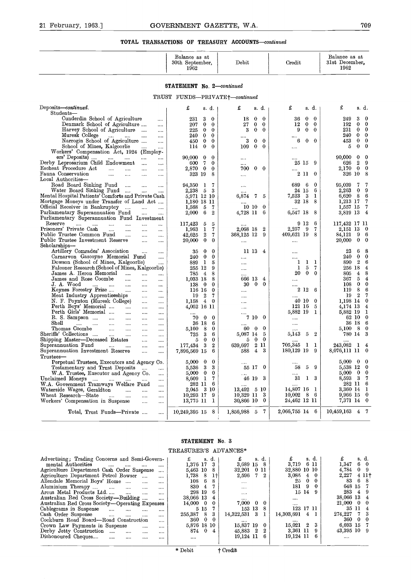# 21 February, 1963.] GOVERNMENT GAZETTE, W.A. 709 **TOTAL TRANSACTIONS OF TREASURY ACCOUNTS-continued**

| 21 February, 1963.]                                                                                                                      | GOVERNMENT GAZETTE, W.A.                                   |                                         |                                    | 709                                                       |
|------------------------------------------------------------------------------------------------------------------------------------------|------------------------------------------------------------|-----------------------------------------|------------------------------------|-----------------------------------------------------------|
|                                                                                                                                          | <b>TOTAL TRANSACTIONS OF TREASURY ACCOUNTS—continued</b>   |                                         |                                    |                                                           |
|                                                                                                                                          | Balance as at<br>30th September,<br>1962                   | Debit                                   | Credit                             | Balance as at<br>31st December.<br>1962                   |
|                                                                                                                                          | STATEMENT No. 2-continued                                  |                                         |                                    |                                                           |
|                                                                                                                                          | TRUST FUNDS-PRIVATE+-continued                             |                                         |                                    |                                                           |
| Deposits-continued.                                                                                                                      | £<br>s. d.                                                 | £<br>s. d.                              | £<br>s. d.                         | £<br>s. d.                                                |
| Students-<br>Cunderdin School of Agriculture<br>                                                                                         | 3<br>231<br>$\theta$                                       | 18<br>$\bf{0}$<br>$\theta$              | $\bf{0}$<br>36<br>$\bf{0}$         | 249<br>3<br>$\bf{0}$                                      |
| Denmark School of Agriculture<br>$\cdots$                                                                                                | 207<br>$\bf{0}$<br>$\bf{0}$                                | 27<br>0<br>$\bf{0}$                     | 12<br>0<br>$\bf{0}$                | 192<br>$\mathbf{0}$<br>$\overline{0}$                     |
| Harvey School of Agriculture<br>                                                                                                         | 225<br>$\bf{0}$<br>$\theta$                                | 3<br>$\bf{0}$<br>$\bf{0}$               | 9<br>$\bf{0}$<br>$\mathbf{0}$      | $\overline{0}$<br>231<br>0<br>$\bf{0}$                    |
| Muresk College<br>$\cdots$ $\cdots$<br>$\cdots$<br><br>Narrogin School of Agriculture<br>$\cdots$                                        | $\bf{0}$<br>240<br>$\theta$<br>$\bf{0}$<br>$\bf{0}$<br>450 | $\cdots$<br>3<br>$\bf{0}$<br>0          | $\bf{0}$<br>$\bf{0}$<br>6          | 240<br>$\bf{0}$<br>$\mathbf{0}$<br>453<br>$\bf{0}$        |
| School of Mines, Kalgoorlie<br>$\cdots$<br>                                                                                              | 0<br>114<br>$\bf{0}$                                       | 109<br>0<br>$\bf{0}$                    |                                    | $\bf{0}$<br>$\bf{0}$<br>5                                 |
| Workers' Compensation Act, 1924 (Employ-                                                                                                 |                                                            |                                         |                                    |                                                           |
| ers' Deposits)<br>and the manufacturers<br>$\cdots$<br>                                                                                  | 90,000<br>0<br>0                                           | $\cdots$                                |                                    | 90.000<br>0<br>$\bf{0}$                                   |
| Derby Leprosarium Child Endowment<br>$\sim$ $\sim$ $\sim$<br>$\cdots$<br>Escheat Procedure Act                                           | 600<br>7<br>$\bf{0}$<br>2,870<br>$\bf{0}$<br>$\theta$      | $\cdots$<br>$0\quad 0$<br>700           | $25\,$ $15$<br>-9                  | $\mathbf{2}$<br>- 9<br>626<br>$0\quad 0$<br>2,170         |
| $\cdots$<br><br>Fauna Conservation<br>$\cdots$<br>$\cdots$<br>$\ldots$<br>$\cdots$                                                       | 323 19<br>8                                                | $\cdots$                                | 211<br>$\theta$                    | 8<br>326 10                                               |
| Local Authorities-                                                                                                                       |                                                            |                                         |                                    |                                                           |
| Road Board Sinking Fund<br>$\ldots$<br>$\cdots$<br>$\cdots$                                                                              | 94,350<br>1<br>7                                           | $\cdots$                                | 689<br>6<br>0                      | 95.039<br>7<br>7                                          |
| Water Board Sinking Fund<br>$\sim$<br>$\cdots$<br>Mental Hospital Patients' Comforts and Private Cash                                    | 5<br>3<br>2,238                                            |                                         | 6<br>24 15<br>7,523<br>3<br>1      | 9<br>2.263<br>$\bf{0}$<br>8<br>- 6                        |
| Mortgage Moneys under Transfer of Land Act                                                                                               | 5,971 12 10<br>1.180 18 11                                 | 6,874<br>$\bf 7$<br>-5                  | 32 18<br>8                         | 6,620<br>1.213 17<br>- 7                                  |
| Official Receiver in Bankruptcy<br>$\cdots$<br>$\ldots$                                                                                  | $\overline{7}$<br>1,568<br>5                               | 10 10<br>$\bf{0}$                       |                                    | - 7<br>1,557 15                                           |
| Parliamentary Superannuation Fund<br>$\cdots$<br>$\cdots$                                                                                | 2,000<br>6<br>$\boldsymbol{2}$                             | 4,728 11<br>- 6                         | 8<br>6,547 18                      | $\overline{4}$<br>3,819 13                                |
| Parliamentary Superannuation Fund Investment<br>Reserve                                                                                  |                                                            |                                         | 9 12<br>6                          | 117,432 17 11                                             |
| $\cdots$<br>$\cdots$<br>$\cdots$<br>$\cdots$<br><br>$\ddotsc$<br>Prisoners' Private Cash<br>$\cdots$<br>$\cdots$<br>$\cdots$<br>$\cdots$ | 117,423<br>5<br>5<br>1.963<br>1<br>7                       | $\boldsymbol{2}$<br>2,068 18            | $2{,}257$<br>9<br>7                | 2,151 13<br>- 0                                           |
| Public Trustee Common Fund<br>$\cdots$<br><br>$\cdots$                                                                                   | $\boldsymbol{2}$<br>42,625<br>7                            | 368,125 12<br>9                         | 409,621 19 8                       | 84.121<br>9 6                                             |
| Public Trustee Investment Reserve<br>$\cdots$<br>$\cdots$                                                                                | $\bf{0}$<br>20,000<br>$\theta$                             |                                         |                                    | 20,000<br>$\bf{0}$<br>$\mathbf{0}$                        |
| Scholarships-                                                                                                                            |                                                            |                                         |                                    |                                                           |
| Artillery Comrades' Association<br><br>$\cdots$<br>Carnarvon Gascoyne Memorial Fund                                                      | 0<br>$\bf{0}$<br>35<br>$\bf{0}$<br>$\bf{0}$<br>240         | 11 13<br>$\overline{4}$                 | $\cdots$                           | 23<br>6<br>8<br>$\mathbf{0}$<br>$\bf{0}$<br>240           |
| $\cdots$<br>Dowson (School of Mines, Kalgoorlie)<br>$\cdots$                                                                             | 889<br>1<br>5                                              | $\cdots$<br>                            | <br>1<br>1<br>1                    | $\overline{2}$<br>6<br>890                                |
| Falconer Research (School of Mines, Kalgoorlie)                                                                                          | 255 12<br>9                                                |                                         | 1<br>5<br>7                        | 256 18<br>$\overline{4}$                                  |
| James A. Heron Memorial<br>$\cdots$<br><br>$\cdots$                                                                                      | 8<br>785<br>4                                              | $\cdots$                                | 20<br>$\bf{0}$<br>$\theta$         | 8<br>805<br>4                                             |
| James and Rose Coombe<br>$\cdots$<br>$\cdots$<br>$\cdots$                                                                                | 1,033 18<br>8<br>$\bf{0}$                                  | 666 13<br>4<br>$\mathbf{0}$<br>$\bf{0}$ | .                                  | 5<br>$\overline{4}$<br>367<br>$\bf{0}$<br>$\bf{0}$<br>108 |
| J. A. Wood<br>$\cdots$<br>$\sim$<br>$\cdots$<br><br>$\cdots$<br>Keynes Forestry Prize<br>$\cdots$<br>$\cdots$<br>$\cdots$                | 138<br>$\mathbf{0}$<br>116 16<br>$\theta$                  | 30<br>$\cdots$                          | <br>$2\;12$<br>6                   | 8<br>6<br>119                                             |
| Meat Industry Apprenticeships<br>$\cdots$<br>$\cdots$                                                                                    | 19<br>$\boldsymbol{2}$<br>7                                | $\cdots$                                | $\cdots$                           | $\mathbf{2}$<br>7<br>19                                   |
| N. F. Poynton (Muresk College)<br>$\cdots$<br>$\cdots$                                                                                   | 1.158<br>$\overline{4}$<br>$\bf{0}$                        |                                         | 40 10<br>$\bf{0}$                  | 1,198 14 0                                                |
| Perth Boys' Memorial<br>$\cdots$<br>$\cdots$<br>$\cdots$                                                                                 | 4,052 16 11                                                |                                         | 121 16<br>5                        | 4,174 13<br>$\overline{4}$                                |
| Perth Girls' Memorial<br>$\cdots$<br>$\cdots$<br>$\cdots$<br>R. S. Sampson<br>$\sim$                                                     | $\bf{0}$<br>$\bf{0}$<br>70                                 | $\cdots$<br>7100                        | 5,882 19<br>1                      | 5,882 19<br>- 1<br>62 10 0                                |
| $\cdots$<br><br><br>Shell<br>and the same<br>$\cdots$<br>$\cdots$<br>$\cdots$<br>$\cdots$                                                | 36 18<br>6                                                 |                                         | <br>                               | - 6<br>36 18                                              |
| Thomas Coombe<br>$\cdots$<br>                                                                                                            | 5.160<br>8<br>0                                            | 60 0<br>$\bf{0}$                        |                                    | 8<br>$\bf{0}$<br>5.100                                    |
| Sheriffs' Collections<br>$\cdots$<br><br>                                                                                                | 3<br>725<br>6                                              | 5,087 14<br>- 5                         | $5,\!143$<br>$\boldsymbol{2}$<br>5 | 780 14 3                                                  |
| Shipping Master-Deceased Estates<br>.<br>                                                                                                | $\bf{0}$<br>5<br>0                                         | 500<br>639,697 2 11                     | 705,345<br>1<br>-1                 | 243,082<br>1 4                                            |
| Superannuation Fund<br>$\ldots$<br><br><br>Superannuation Investment Reserve<br>                                                         | 177,434<br>3<br>$\boldsymbol{2}$<br>7,896,569 15<br>6      | 43<br>588                               | 180,129 19<br>-9                   | 8,076,111 11 0                                            |
| <br>Trustees-                                                                                                                            |                                                            |                                         |                                    |                                                           |
| Perpetual Trustees, Executors and Agency Co.                                                                                             | 5,000<br>$\bf{0}$<br>0                                     |                                         |                                    | 5,000<br>$0\quad 0$                                       |
| Testamentary and Trust Deposits<br><br>                                                                                                  | 3<br>3<br>5,536                                            | 55 17 0                                 | 58<br>5<br>9                       | 5,538 12 0                                                |
| W.A. Trustee, Executor and Agency Co.<br>$\cdots$<br>Unclaimed Moneys                                                                    | 5,000<br>$\bf{0}$<br>0<br>8,609<br>$\mathbf{I}$<br>7       | $\cdots$<br>3<br>46 19                  | <br>31<br>$1 \quad 3$              | $\mathbf{0}$<br>5,000<br>$\bf{0}$<br>8,593<br>3 7         |
| $\sim$ $\sim$<br>$\cdots$<br><br>W.A. Government Tramways Welfare Fund<br>                                                               | 282 11<br>6                                                |                                         |                                    | 282 11 6                                                  |
| Waterside Wages, Geraldton<br><br><br>                                                                                                   | 2,045<br>- 3 10                                            | $13,492 \quad 5 \quad 10$               | 14,807 16<br>1                     | - 1<br>3,360 14                                           |
| Wheat Research-State<br><br>$\cdots$<br><br>$\cdots$                                                                                     | 10,293 17<br>9                                             | 10,329 11<br>- 3                        | 10,002<br>8<br>-6                  | 9,966 15 0                                                |
| Workers' Compensation in Suspense<br><br>$\cdots$                                                                                        | 13,775 11<br>1                                             | 30,866 10<br>$\bf{0}$                   | 24,462 12 11                       | 7,371 14 0                                                |
| Total, Trust Funds-Private<br>                                                                                                           | 10,249,395 15<br>8 I                                       | 1,856,988 5 7                           | 2,066,755 14 6                     | $10,\!459,\!163$<br>4 7                                   |
|                                                                                                                                          | j.                                                         |                                         |                                    |                                                           |
|                                                                                                                                          |                                                            |                                         |                                    |                                                           |

#### **STATEMENT** No. **3**

#### TREASURER'S ADVANCES\*

|                                                                                                                                                                                                                                                                                                                                                                                                                                                                                                                                                                                                                                                                                                                                                                                                                       | STATEMENT No. 3                                                                                                                                                                                                                                                                        |                                                                                                                                                                                                                              |                                                                                                                                                                                                                                                                     |                                                                                                                                                                                                                                                                                                                    |
|-----------------------------------------------------------------------------------------------------------------------------------------------------------------------------------------------------------------------------------------------------------------------------------------------------------------------------------------------------------------------------------------------------------------------------------------------------------------------------------------------------------------------------------------------------------------------------------------------------------------------------------------------------------------------------------------------------------------------------------------------------------------------------------------------------------------------|----------------------------------------------------------------------------------------------------------------------------------------------------------------------------------------------------------------------------------------------------------------------------------------|------------------------------------------------------------------------------------------------------------------------------------------------------------------------------------------------------------------------------|---------------------------------------------------------------------------------------------------------------------------------------------------------------------------------------------------------------------------------------------------------------------|--------------------------------------------------------------------------------------------------------------------------------------------------------------------------------------------------------------------------------------------------------------------------------------------------------------------|
|                                                                                                                                                                                                                                                                                                                                                                                                                                                                                                                                                                                                                                                                                                                                                                                                                       | TREASURER'S ADVANCES*                                                                                                                                                                                                                                                                  |                                                                                                                                                                                                                              |                                                                                                                                                                                                                                                                     |                                                                                                                                                                                                                                                                                                                    |
| Advertising; Trading Concerns and Semi-Govern-<br>mental Authorities<br>$\cdots$<br><br><br>$\cdots$<br>Agriculture Department Cash Order Suspense<br>$\cdots$<br>Agriculture Department Petrol Bowser<br>$\cdots$<br>$\cdots$<br>Allendale Memorial Boys' Home<br>$\cdots$<br>$\cdots$<br>Aluminium Therapy<br>$\cdots$<br>$\cdots$<br>$\cdots$<br>$\cdots$<br>Arcus Metal Products Ltd<br>$\cdots$<br>$\cdots$<br>$\cdots$<br>Australian Red Cross Society—Building<br>$\cdots$<br>Australian Red Cross Society---Operating Expenses<br>Cablegrams in Suspense<br>$\cdots$<br><br><br><br>Cash Order Suspense<br><br><br><br>Cockburn Road Board-Road Construction<br>$\cdots$<br>Crown Law Payments in Suspense<br><br>Derby Jetty Construction<br>$\cdots$<br><br><br>Dishonoured Cheques<br>$\cdots$<br><br><br> | £<br>s. d.<br>1,376 17<br>3<br>5,463 10<br>8<br>1,738<br>- 8<br>$1\dagger$<br>-6<br>108<br>8<br>830<br>$\overline{4}$<br>298 19<br>6<br>38,066 13<br>4<br>14,000<br>$\bf{0}$<br>0<br>7<br>5 15<br>255,387<br>3<br>8<br>$\bf{0}$<br>0<br>360<br>5,876 18 10<br>$\Omega$<br>874<br>4<br> | £<br>d.<br>s.<br>3,689 15<br>8<br>32,201 0 11<br>2,596<br>2<br>-7<br>$\cdots$<br><br>$\cdots$<br><br>7,000<br>$\bf{0}$<br>- 0<br>153 13<br>8<br>14,322,531 3<br>1<br><br>15,837 19<br>$\bf{0}$<br>45,883 2<br>19,124 11<br>6 | s. d.<br>£<br>6 11<br>3,719<br>32,880 10 10<br>3,085<br>4<br>$\bf{0}$<br>$\bf{0}$<br>25<br>0<br>181<br>9<br>$\theta$<br>15 14<br>$\Omega$<br>$\cdots$<br><br>123 17 11<br>14,303,691<br>4<br><br>15.021<br>$\boldsymbol{2}$<br>3<br>9<br>3,361 11<br>19,124 11<br>6 | £<br>s. d.<br>6<br>1.347<br>$\mathbf{0}$<br>4,784<br>9<br>$\bf{0}$<br>2,227<br>411 <sup>†</sup><br>83<br>6<br>-8<br>648 15<br>283<br>$\overline{4}$<br>- 9<br>38,066 13<br>$\overline{4}$<br>21,000<br>- 0<br>0<br>35 11<br>$\overline{4}$<br>3<br>274,227<br>360<br>$\bf{0}$<br>-0<br>6,693 15<br>43,395 10 9<br> |
|                                                                                                                                                                                                                                                                                                                                                                                                                                                                                                                                                                                                                                                                                                                                                                                                                       | * Debit                                                                                                                                                                                                                                                                                | † Credit                                                                                                                                                                                                                     |                                                                                                                                                                                                                                                                     |                                                                                                                                                                                                                                                                                                                    |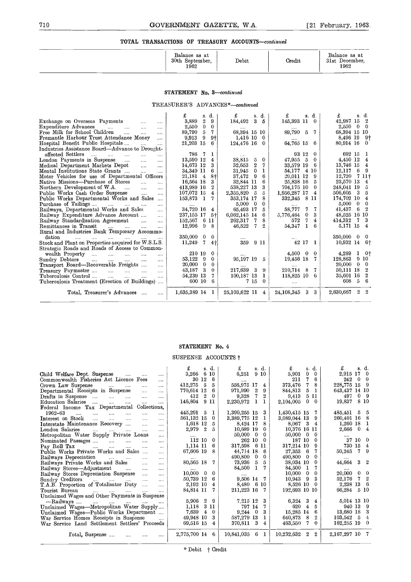# GOVERNMENT GAZETTE, W.A. [21 February, 1963.]<br>ANSACTIONS OF TREASURY ACCOUNTS—continued **TOTAL TRANSACTIONS OF TREASURY ACCOUNTS-continued**

| 710 | GOVERNMENT GAZETTE, W.A.                          |       |        | [21 February, 1963.                     |
|-----|---------------------------------------------------|-------|--------|-----------------------------------------|
|     | TOTAL TRANSACTIONS OF TREASURY ACCOUNTS-continued |       |        |                                         |
|     | Balance as at<br>30th September,<br>1962          | Debit | Credit | Balance as at<br>31st December,<br>1962 |

#### **STATEMENT No.** *3-continued*

|                                                                                                                                                                                                                                                                                                                                                                                                                                                                                                                                                                                                                                                                                                                                                                                                                                                                                                                                                                                                                                                                                                                                                                                                                                                    | TOTAL TRANSACTIONS OF TREASURY ACCOUNTS—continued                                                                                                                                                                                                                                                                                                                                                                        |                                                                                                                                                                                                                                                                                                                                                                                                                             |                                                                                                                                                                                                                                                                                                                                 |                                                                                                                                                                                                                                                                                                                                                                                                                                                                                                                           |
|----------------------------------------------------------------------------------------------------------------------------------------------------------------------------------------------------------------------------------------------------------------------------------------------------------------------------------------------------------------------------------------------------------------------------------------------------------------------------------------------------------------------------------------------------------------------------------------------------------------------------------------------------------------------------------------------------------------------------------------------------------------------------------------------------------------------------------------------------------------------------------------------------------------------------------------------------------------------------------------------------------------------------------------------------------------------------------------------------------------------------------------------------------------------------------------------------------------------------------------------------|--------------------------------------------------------------------------------------------------------------------------------------------------------------------------------------------------------------------------------------------------------------------------------------------------------------------------------------------------------------------------------------------------------------------------|-----------------------------------------------------------------------------------------------------------------------------------------------------------------------------------------------------------------------------------------------------------------------------------------------------------------------------------------------------------------------------------------------------------------------------|---------------------------------------------------------------------------------------------------------------------------------------------------------------------------------------------------------------------------------------------------------------------------------------------------------------------------------|---------------------------------------------------------------------------------------------------------------------------------------------------------------------------------------------------------------------------------------------------------------------------------------------------------------------------------------------------------------------------------------------------------------------------------------------------------------------------------------------------------------------------|
|                                                                                                                                                                                                                                                                                                                                                                                                                                                                                                                                                                                                                                                                                                                                                                                                                                                                                                                                                                                                                                                                                                                                                                                                                                                    | Balance as at<br>30th September,<br>1962                                                                                                                                                                                                                                                                                                                                                                                 | Debit                                                                                                                                                                                                                                                                                                                                                                                                                       | Credit                                                                                                                                                                                                                                                                                                                          | Balance as at<br>31st December.<br>1962                                                                                                                                                                                                                                                                                                                                                                                                                                                                                   |
|                                                                                                                                                                                                                                                                                                                                                                                                                                                                                                                                                                                                                                                                                                                                                                                                                                                                                                                                                                                                                                                                                                                                                                                                                                                    | STATEMENT No. 3-continued<br>TREASURER'S ADVANCES*-continued                                                                                                                                                                                                                                                                                                                                                             |                                                                                                                                                                                                                                                                                                                                                                                                                             |                                                                                                                                                                                                                                                                                                                                 |                                                                                                                                                                                                                                                                                                                                                                                                                                                                                                                           |
| Exchange on Overseas Payments<br>$\cdots$<br>$\cdots$<br>Expenditure Advances<br>$\sim$ $\sim$<br>$\cdots$<br>$\cdots$<br>$\cdots$<br>Free Milk for School Children<br>$\cdots$<br>$\cdots$<br>$\cdots$<br>Fremantle Harbour Trust Attendance Money<br>$\cdots$<br>Hospital Benefit Public Hospitals<br>$\cdots$<br>$\cdots$<br>Industries Assistance Board—Advance to Drought-<br>affected Settlers<br>$\ldots$ . $\ldots$ . $\ldots$<br>$\cdots$<br>London Payments in Suspense<br>$\cdots$<br>$\cdots$<br>$\cdots$<br>Medical Department Markets Depot<br>$\cdots$<br>$\cdots$<br>Mental Institutions State Grants<br>$\cdots$<br>$\cdots$<br>Motor Vehicles for use of Departmental Officers<br>Native Missions---Purchase of Stores<br>$\ddotsc$<br><br>Northern Development of W.A.<br>$\dddotsc$<br>$\sim$ $\sim$<br>$\sim$<br>Public Works Cash Order Suspense<br>$\mathbf{1}$<br>$\cdots$<br>Public Works Departmental Works and Sales<br>Purchase of Tailings<br>$\mathbf{m}$ , $\mathbf{m}$ , $\mathbf{m}$<br><b>Contact Contact</b><br>$\cdots$<br>Railways, Departmental Works and Sales<br>$\cdots$<br>Railway Expenditure Advance Account<br>$\cdots$<br>Railway Standardisation Agreement<br>$\sim 100$ and $\sim 100$<br>$\cdots$ | £<br>s. d.<br>$\overline{2}$<br>9<br>3,889<br>$\mathbf{0}$<br>$\Omega$<br>2,550<br>5<br>7<br>89,790<br>- 9<br>9,913<br>9†<br>21,203 15<br>6<br>786<br>1<br>-7<br>13,590 12<br>4<br>14,673 12<br>3<br>34,349 11<br>6<br>21,181<br>$\overline{4}$<br>$8+$<br>16,564 18<br>3<br>$\boldsymbol{2}$<br>413,989 16<br>107,072 15<br>4<br>153,873 1<br>7<br>34,720 16<br>$\overline{4}$<br>237,155 17<br>-5†<br>152,567<br>-6 11 | £<br>s. d.<br>$\mathbf{3}$<br>184,492<br>5<br>68,394 15 10<br>1,416 10<br>- 0<br>124,476 16 0<br>$\bf{0}$<br>38,815<br>-5<br>32,653<br>$\overline{2}$<br>7<br>31,945<br>$\bf{0}$<br>1<br>-9<br>6<br>37,472<br>32,844 11<br>6<br>538,227 13<br>3<br>- 5<br>5<br>2,355,820<br>8<br>353,174 17<br>$\overline{0}$<br>$\overline{\phantom{0}}$<br>5,000<br>$\overline{5}$<br>65,493 17<br>6<br>6,062,145 14<br>8<br>262,317<br>7 | £<br>s. d.<br>145,393 11 0<br>89,790 5 7<br>64,765 15<br>- 6<br>93 12<br>$\Omega$<br>$\Omega$<br>47,955 5<br>- 6<br>33,579 19<br>54.177<br>4 10<br>29.011 12<br>9<br>25.838 16<br>5<br>704,175 10<br>0<br>1,956,287 17<br>$\overline{4}$<br>-8-11<br>332,345<br>7<br>58,777<br>7<br>3<br>$\bf{0}$<br>5,776,464<br>7<br>572<br>4 | £<br>s. d.<br>42,987 15<br>$\overline{\mathbf{2}}$<br>2,550<br>$\mathbf{0}$<br>$\bf{0}$<br>68,394 15 10<br>9 <sup>1</sup><br>8,496 19<br>80,914 16<br>$\overline{0}$<br>692 15<br>-1<br>4,450 12<br>$\overline{4}$<br>$\overline{4}$<br>13,746 15<br>12,117<br>- 6<br>- 9<br>12,720<br>7 11†<br>23,570 13<br>$\overline{4}$<br>248,041 19<br>5<br>$\overline{\mathbf{3}}$<br>- 5<br>506,605<br>$\overline{4}$<br>174,702 10<br>5,000<br>$0\quad 0$<br>$^{\circ}$<br>41,437<br>- 6<br>48,525 16 10<br>- 3<br>-7<br>414,312 |
| Remittances in Transit<br>المستحدث المساحي<br>$\cdots$<br>Rural and Industries Bank Temporary Accommo-<br>dation<br>and the company of the company<br>$\cdots$<br>Stock and Plant on Properties acquired for W.S.L.S.<br>Strategic Roads and Roads of Access to Common-<br>wealth Property<br>$\ldots$<br>and the<br>$\sim$<br>$\cdots$<br>Sundry Debtors<br>$\cdots$<br>$\cdots$<br>$\cdots$<br>$\cdots$<br>$\cdots$<br>Transport Board-Recoverable Freights<br>$\mathbf{r}$<br>Treasury Paymaster<br>$\ddotsc$<br>$\cdots$<br>$\ldots$<br>$\ddotsc$<br>Tuberculosis Control<br>$\cdots$<br>$\cdots$<br>$\cdots$<br>$\cdots$<br>Tuberculosis Treatment (Erection of Buildings)                                                                                                                                                                                                                                                                                                                                                                                                                                                                                                                                                                    | 12,996<br>-9<br>8<br>350,000<br>$\bf{0}$<br>$\overline{0}$<br>11,249<br>$\mathbf{7}$<br>4 <sub>1</sub><br>210 19<br>$\theta$<br>53,122<br>-9<br>$\theta$<br>20,000<br>$\bf{0}$<br>$\bf{0}$<br>3<br>43,187<br>0<br>54,239 13<br>7<br>600 10<br>6                                                                                                                                                                          | 2<br>46,522<br>7<br>911<br>359<br><br>95,197 19<br>5<br>217,639<br>$\overline{\phantom{a}3}$<br>9<br>100,187 13<br>-1<br>7 15<br>$\theta$                                                                                                                                                                                                                                                                                   | 54,347<br>$\mathbf{1}$<br>6<br>42 17 1<br>$4,500 \quad 0 \quad 0$<br>19,456 18<br>- 7<br>$\cdots$<br>210,714<br>-8<br>-7<br>118,825 10 6<br>$\cdots$                                                                                                                                                                            | 5,171 15<br>$\overline{4}$<br>350,000<br>$\overline{0}$<br>- 0<br>10,932 14<br>$-6+$<br>1<br>- 01<br>4,289<br>128,863<br>9 10<br>$20,000 \quad 0 \quad 0$<br>$\overline{\mathbf{2}}$<br>50,111 18<br>$^{\circ}$<br>35,601 16<br>6<br>608<br>-5                                                                                                                                                                                                                                                                            |
| Total, Treasurer's Advances<br>                                                                                                                                                                                                                                                                                                                                                                                                                                                                                                                                                                                                                                                                                                                                                                                                                                                                                                                                                                                                                                                                                                                                                                                                                    | 1,635,389 14 1                                                                                                                                                                                                                                                                                                                                                                                                           | 25,103,622 11 4                                                                                                                                                                                                                                                                                                                                                                                                             | 24,108,345 3 3                                                                                                                                                                                                                                                                                                                  | 2,630,667 2 2                                                                                                                                                                                                                                                                                                                                                                                                                                                                                                             |

#### **STATEMENT No.** 4

#### SUSPENSE ACCOUNTS  $\dagger$

| Total, Treasurer's Advances<br>                                                                                                                                                                                                                                                                                                                                                                                                                                                                                                                                                                                                                                                                                                                                                                                                                                                                                                                                                                                                                                                                                                                                                                                                                                                                                                                                                                                      | 1,030,389 14 1                                                                                                                                                                                                                                                                                                                                                                                                                                                                                | 20,103,022 11 4                                                                                                                                                                                                                                                                                                                                                                                                                                                                                                       | 24,108,349 3 3                                                                                                                                                                                                                                                                                                                                                                                                                                                                                                                                                                            | 2,030,007 2<br>- 2                                                                                                                                                                                                                                                                                                                                                                                                                                                   |
|----------------------------------------------------------------------------------------------------------------------------------------------------------------------------------------------------------------------------------------------------------------------------------------------------------------------------------------------------------------------------------------------------------------------------------------------------------------------------------------------------------------------------------------------------------------------------------------------------------------------------------------------------------------------------------------------------------------------------------------------------------------------------------------------------------------------------------------------------------------------------------------------------------------------------------------------------------------------------------------------------------------------------------------------------------------------------------------------------------------------------------------------------------------------------------------------------------------------------------------------------------------------------------------------------------------------------------------------------------------------------------------------------------------------|-----------------------------------------------------------------------------------------------------------------------------------------------------------------------------------------------------------------------------------------------------------------------------------------------------------------------------------------------------------------------------------------------------------------------------------------------------------------------------------------------|-----------------------------------------------------------------------------------------------------------------------------------------------------------------------------------------------------------------------------------------------------------------------------------------------------------------------------------------------------------------------------------------------------------------------------------------------------------------------------------------------------------------------|-------------------------------------------------------------------------------------------------------------------------------------------------------------------------------------------------------------------------------------------------------------------------------------------------------------------------------------------------------------------------------------------------------------------------------------------------------------------------------------------------------------------------------------------------------------------------------------------|----------------------------------------------------------------------------------------------------------------------------------------------------------------------------------------------------------------------------------------------------------------------------------------------------------------------------------------------------------------------------------------------------------------------------------------------------------------------|
|                                                                                                                                                                                                                                                                                                                                                                                                                                                                                                                                                                                                                                                                                                                                                                                                                                                                                                                                                                                                                                                                                                                                                                                                                                                                                                                                                                                                                      |                                                                                                                                                                                                                                                                                                                                                                                                                                                                                               |                                                                                                                                                                                                                                                                                                                                                                                                                                                                                                                       |                                                                                                                                                                                                                                                                                                                                                                                                                                                                                                                                                                                           |                                                                                                                                                                                                                                                                                                                                                                                                                                                                      |
|                                                                                                                                                                                                                                                                                                                                                                                                                                                                                                                                                                                                                                                                                                                                                                                                                                                                                                                                                                                                                                                                                                                                                                                                                                                                                                                                                                                                                      | STATEMENT No. 4                                                                                                                                                                                                                                                                                                                                                                                                                                                                               |                                                                                                                                                                                                                                                                                                                                                                                                                                                                                                                       |                                                                                                                                                                                                                                                                                                                                                                                                                                                                                                                                                                                           |                                                                                                                                                                                                                                                                                                                                                                                                                                                                      |
|                                                                                                                                                                                                                                                                                                                                                                                                                                                                                                                                                                                                                                                                                                                                                                                                                                                                                                                                                                                                                                                                                                                                                                                                                                                                                                                                                                                                                      | SUSPENSE ACCOUNTS †                                                                                                                                                                                                                                                                                                                                                                                                                                                                           |                                                                                                                                                                                                                                                                                                                                                                                                                                                                                                                       |                                                                                                                                                                                                                                                                                                                                                                                                                                                                                                                                                                                           |                                                                                                                                                                                                                                                                                                                                                                                                                                                                      |
| Child Welfare Dept. Suspense<br>$\cdots$<br>Commonwealth Fisheries Act Licence Fees<br><br>Crown Law Suspense<br>$\ldots$ . $\ldots$<br><br>Departmental Receipts in Suspense<br>$\mathbf{r}$<br>$\ddotsc$<br>Drafts in Suspense<br>$\cdots$<br>$\cdots$<br><br>$\cdots$<br>Education Salaries<br>$\cdots$<br>$\cdots$<br>$\cdots$<br><br>Federal Income Tax Departmental Collections,<br>1962-63<br><br>$\cdots$<br><br><br>$\cdots$<br><br>Interest on Stock<br>$\cdots$<br>$\sim$ $\sim$<br>$\sim$ $\sim$<br>Interstate Maintenance Recovery<br><br>London Salaries<br>$\cdots$<br>$\cdots$<br>$\cdots$ .<br>$\cdots$<br>$\cdots$<br>Metropolitan Water Supply Private Loans<br><br>Nominated Passages<br>$\cdots$<br>$\cdots$<br><br>Pay Roll Tax<br>$\cdots$<br>$\cdots$<br><br>$\cdots$<br>Public Works Private Works and Sales<br><br>Railways Depreciation<br>المتحادث المتحادث<br>Railways Private Works and Sales<br>$\dddotsc$<br>$\cdots$<br>Railway Stores-Adjustment<br>$\cdots$<br>Railway Stores Depreciation Suspense<br><br>Sundry Creditors<br>T.A.B. Proportion of Totalisator Duty<br>.<br>.<br>Tourist Bureau<br>and the man of the company<br>Unclaimed Wages and Other Payments in Suspense<br>-Railways<br>Unclaimed Wages-Metropolitan Water Supply<br>Unclaimed Wages-Public Works Department<br>War Service Homes Receipts in Suspense<br>War Service Land Settlement Settlers' Proceeds | £<br>s. d.<br>3,266 6 10<br>30 12<br>-6<br>412,275<br>- 5<br>5<br>770,614 12 6<br>$^{\circ}$<br>-0<br>412<br>146,804<br>9 11<br>445,291<br>- 5<br>1<br>561,132 15<br>$^{0}$<br>1,618 12<br>5<br>2,979 2<br>5<br><br>112 10<br>0<br>1,114 11<br>-6<br>67,606 19<br>8<br><br>80,565 18<br>7<br>$10,000 \quad 0$<br>$\theta$<br>50,739 12<br>6<br>4<br>2,192 10<br>7<br>84,814 11<br>5,906<br>- 9<br>$^{2}$<br>3 11<br>1,118<br>7,639<br>$\overline{4}$<br>0<br>49,948 10<br>3<br>69,516 15<br>4 | £<br>s. d.<br>6,251<br>910<br><br>556,975 17<br>4<br>971,990 2<br>9<br>$\boldsymbol{2}$<br>9,328<br>7<br>$\mathbf{1}$<br>2,230,972<br>ı<br>1,390,255 15<br>3<br>1<br>3,389,775 12<br>8<br>8,424 17<br>10.689 19<br>$\mathbf{0}$<br>50,000 0<br>0<br>262 10<br>-0<br>317,598<br>- 6 11<br>44,714 18<br>6<br>490,800<br>$\bf{0}$<br>0<br>5<br>73,936<br>- 5<br>84,500<br>- 1<br>7<br>9,506 14 7<br>8,480 6 10<br>211,223 16<br>7<br>3<br>7.215 12<br>797 14<br>7<br>3<br>$9,244$ 0<br>587,279 13<br>1<br>370,811 3<br>4 | £<br>s. d.<br>$\theta$<br>5,901<br>$\Omega$<br>6<br>211<br>7.<br>7<br>8<br>373,476<br>5<br>844,813<br>- 1<br>5 11<br>9,413<br>0<br>2,104,005<br>$\Omega$<br>7<br>1,430,415 15<br>9<br>3,089,044 13<br>8,067 3 4<br>10,376 16 11<br>50,000<br>- 0<br>0<br>0<br>187 10<br>317,214 10<br>9<br>7<br>27,353 6<br>$\mathbf{0}$<br>490,800 0<br>$\mathbf{0}$<br>38,034 10<br>7<br>84,500 1<br>$\theta$<br>$10,000 \quad 0$<br>3<br>10.943 9<br>8,526 10<br>0<br>192,693 10 10<br>6,324<br>-3<br>4<br>620<br>4<br>5<br>6<br>15,285 14<br>-8<br>$\overline{2}$<br>640,873<br>$\Omega$<br>463,550 7 | £<br>s. d.<br>2,915 17 0<br>$0\quad 0$<br>242<br>228,775 15 9<br>643,437 14 10<br>497<br>$0\quad 9$<br>8 10<br>19,837<br>485,451 5 5<br>260,401 16 8<br>$1,260$ 18 1<br>$0\quad 4$<br>2,666<br>$\cdots$<br>37 10 0<br>730 15 4<br>7 9<br>50,245<br>$\cdots$<br>3 <sub>2</sub><br>44,664<br>$0\quad 0$<br>20,000<br>$7\quad 2$<br>52,176<br>2,238 13 6<br>5 10<br>66,284<br>5,014 13 10<br>940 13 9<br>-3<br>13,680 18<br>$103,542 \quad 5 \quad 4$<br>$162,255$ 19 0 |
| Total, Suspense<br>$\cdots$                                                                                                                                                                                                                                                                                                                                                                                                                                                                                                                                                                                                                                                                                                                                                                                                                                                                                                                                                                                                                                                                                                                                                                                                                                                                                                                                                                                          | 2,775,700 14 6                                                                                                                                                                                                                                                                                                                                                                                                                                                                                | $10,841,035$ 6 1                                                                                                                                                                                                                                                                                                                                                                                                                                                                                                      | $10,232,632$ 2<br>$^{2}$                                                                                                                                                                                                                                                                                                                                                                                                                                                                                                                                                                  | 2,167,297 10 7                                                                                                                                                                                                                                                                                                                                                                                                                                                       |
|                                                                                                                                                                                                                                                                                                                                                                                                                                                                                                                                                                                                                                                                                                                                                                                                                                                                                                                                                                                                                                                                                                                                                                                                                                                                                                                                                                                                                      | .                                                                                                                                                                                                                                                                                                                                                                                                                                                                                             |                                                                                                                                                                                                                                                                                                                                                                                                                                                                                                                       |                                                                                                                                                                                                                                                                                                                                                                                                                                                                                                                                                                                           |                                                                                                                                                                                                                                                                                                                                                                                                                                                                      |

710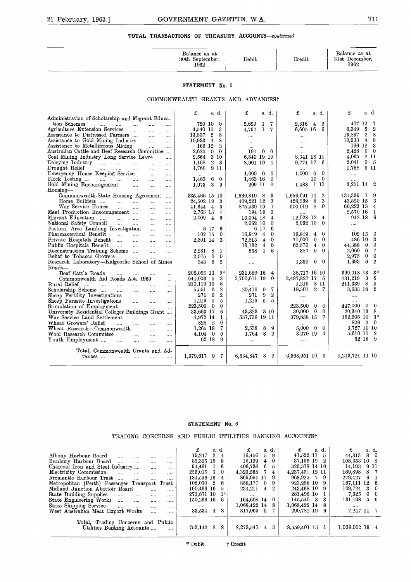#### TOTAL TRANSACTIONS OF TREASURY ACCOUNTS-continued

| 21 February, 1963.] | GOVERNMENT GAZETTE, W.A.                          |       |        | 711                                     |
|---------------------|---------------------------------------------------|-------|--------|-----------------------------------------|
|                     | TOTAL TRANSACTIONS OF TREASURY ACCOUNTS-continued |       |        |                                         |
|                     | Balance as at<br>30th September,<br>1962          | Debit | Credit | Balance as at<br>31st December,<br>1962 |
|                     | STATEMENT No. 5                                   |       |        |                                         |

#### **STATEMENT** No. 5

#### COMMONWEALTH GRANTS AND ADVANCESt

| 41 repruary, 1905.]                                                                                                                                                                                                                                                                                                                                                                                                                                                                                                                                                                                                                                                                                                                                                                                                                                                                                                                                                                                                                                                                                                                                                                                                                                                                                                                                                                                                                                         | GOVERNMENI GAZEIIE, W.A.                                                                                                                                                                                                                                                                                                                                                                                                                                                          |                                                                                                                                                                                                                                                                                                                                                                                                                                                                                                              |                                                                                                                                                                                                                                                                                                                                                                                                                                                                                                      | .                                                                                                                                                                                                                                                                                                                                                                                                                                                                                                                                                         |
|-------------------------------------------------------------------------------------------------------------------------------------------------------------------------------------------------------------------------------------------------------------------------------------------------------------------------------------------------------------------------------------------------------------------------------------------------------------------------------------------------------------------------------------------------------------------------------------------------------------------------------------------------------------------------------------------------------------------------------------------------------------------------------------------------------------------------------------------------------------------------------------------------------------------------------------------------------------------------------------------------------------------------------------------------------------------------------------------------------------------------------------------------------------------------------------------------------------------------------------------------------------------------------------------------------------------------------------------------------------------------------------------------------------------------------------------------------------|-----------------------------------------------------------------------------------------------------------------------------------------------------------------------------------------------------------------------------------------------------------------------------------------------------------------------------------------------------------------------------------------------------------------------------------------------------------------------------------|--------------------------------------------------------------------------------------------------------------------------------------------------------------------------------------------------------------------------------------------------------------------------------------------------------------------------------------------------------------------------------------------------------------------------------------------------------------------------------------------------------------|------------------------------------------------------------------------------------------------------------------------------------------------------------------------------------------------------------------------------------------------------------------------------------------------------------------------------------------------------------------------------------------------------------------------------------------------------------------------------------------------------|-----------------------------------------------------------------------------------------------------------------------------------------------------------------------------------------------------------------------------------------------------------------------------------------------------------------------------------------------------------------------------------------------------------------------------------------------------------------------------------------------------------------------------------------------------------|
|                                                                                                                                                                                                                                                                                                                                                                                                                                                                                                                                                                                                                                                                                                                                                                                                                                                                                                                                                                                                                                                                                                                                                                                                                                                                                                                                                                                                                                                             | TOTAL TRANSACTIONS OF TREASURY ACCOUNTS-continued                                                                                                                                                                                                                                                                                                                                                                                                                                 |                                                                                                                                                                                                                                                                                                                                                                                                                                                                                                              |                                                                                                                                                                                                                                                                                                                                                                                                                                                                                                      |                                                                                                                                                                                                                                                                                                                                                                                                                                                                                                                                                           |
|                                                                                                                                                                                                                                                                                                                                                                                                                                                                                                                                                                                                                                                                                                                                                                                                                                                                                                                                                                                                                                                                                                                                                                                                                                                                                                                                                                                                                                                             | Balance as at<br>30th September,<br>1962                                                                                                                                                                                                                                                                                                                                                                                                                                          | Debit                                                                                                                                                                                                                                                                                                                                                                                                                                                                                                        | Credit                                                                                                                                                                                                                                                                                                                                                                                                                                                                                               | Balance as at<br>31st December,<br>1962                                                                                                                                                                                                                                                                                                                                                                                                                                                                                                                   |
|                                                                                                                                                                                                                                                                                                                                                                                                                                                                                                                                                                                                                                                                                                                                                                                                                                                                                                                                                                                                                                                                                                                                                                                                                                                                                                                                                                                                                                                             | STATEMENT No. 5                                                                                                                                                                                                                                                                                                                                                                                                                                                                   |                                                                                                                                                                                                                                                                                                                                                                                                                                                                                                              |                                                                                                                                                                                                                                                                                                                                                                                                                                                                                                      |                                                                                                                                                                                                                                                                                                                                                                                                                                                                                                                                                           |
|                                                                                                                                                                                                                                                                                                                                                                                                                                                                                                                                                                                                                                                                                                                                                                                                                                                                                                                                                                                                                                                                                                                                                                                                                                                                                                                                                                                                                                                             | COMMONWEALTH GRANTS AND ADVANCES?                                                                                                                                                                                                                                                                                                                                                                                                                                                 |                                                                                                                                                                                                                                                                                                                                                                                                                                                                                                              |                                                                                                                                                                                                                                                                                                                                                                                                                                                                                                      |                                                                                                                                                                                                                                                                                                                                                                                                                                                                                                                                                           |
| Administration of Scholarship and Migrant Educa-                                                                                                                                                                                                                                                                                                                                                                                                                                                                                                                                                                                                                                                                                                                                                                                                                                                                                                                                                                                                                                                                                                                                                                                                                                                                                                                                                                                                            | £<br>s. d.                                                                                                                                                                                                                                                                                                                                                                                                                                                                        | £<br>s. d.                                                                                                                                                                                                                                                                                                                                                                                                                                                                                                   | £<br>s. d.                                                                                                                                                                                                                                                                                                                                                                                                                                                                                           | £<br>s. d.                                                                                                                                                                                                                                                                                                                                                                                                                                                                                                                                                |
| tion Schemes<br>$\cdots$ $\cdots$ $\cdots$ $\cdots$<br>and in<br>as an<br>Agriculture Extension Services<br>$\sim$<br>.<br><br>Assistance to Distressed Farmers<br>$\cdots$<br>$\cdots$<br>Assistance to Gold Mining Industry<br>$\ddotsc$<br>.<br>Assistance to Metalliferous Mining<br>$\cdots$<br><br>Australian Cattle and Beef Research Committee<br>Coal Mining Industry Long Service Leave<br>$\cdots$<br>$\text{Dairying Industry}$ $\ldots$<br>$\cdots$<br>Drought Relief<br>$\cdots$<br>$\cdots$<br>$\cdots$<br>$\cdots$<br>$\ldots$<br>Emergency House Keeping Service<br>$\cdots$<br>Flock Testing<br>$\cdots$<br>$\cdots$<br>Gold Mining Encouragement<br>$\cdots$<br>$\cdots$<br>$\cdots$<br>Housing-<br>Commonwealth-State Housing Agreement<br>$\cdots$<br>Home Builders<br>and the state of<br>and a<br>War Service Homes<br><b>Contract</b><br>$\cdots$<br>$\cdots$<br><br>Meat Production Encouragement<br>$\sim$ 1000 $\mu$<br><br>Migrant Education<br><b>Contract</b><br>$\cdots$<br>National Safety Council<br><b>Contract</b><br>$\cdots$<br>Pastoral Area Lambing Investigation<br>$\sim$ 1000 $\mu$<br>$\cdots$<br>Pharmaceutical Benefit<br>المندار المند<br>$\ldots$<br><br>Private Hospitals Benefit<br>$\cdots$<br>$\cdots$<br>Public Hospitals Benefit<br>$\cdots$<br>$\cdots$<br>Reconstruction Training Scheme<br>$\ddotsc$<br>$\cdots$<br>Relief to Tobacco Growers<br><br>Research Laboratory—Kalgoorlie School of Mines | 720 10<br>$\bf{0}$<br>4,540 10<br>3<br>13.837 2<br>8<br>$10.933 + 4$<br>8<br>166 12<br>3<br>$2,625$ 0<br>$\theta$<br>2.564 3 10<br>$\overline{2}$<br>3<br>1.168<br>1,768 9 11<br>6<br>1,463<br>$\overline{\phantom{0}}$<br>3<br>1,973<br>9<br>335.466 15 10<br>24.502 19<br>3<br>$41.644 \quad 4$<br>5<br>2,765 15<br>$\overline{4}$<br>2,009 4<br>6<br>6 17<br>6<br>102 15<br>$\bf{0}$<br>2,301 14<br>3<br>2,231<br>8<br>1<br>0<br>$\Omega$<br>2.975<br>6<br>$\mathbf{2}$<br>343 | 2,629<br>1 7<br>4,797<br>$1 \t7$<br>$\cdots$<br>$\cdots$<br>$\theta$<br>197<br>$\mathbf{0}$<br>6,840 19 10<br>8,901 19<br>$\overline{4}$<br>$1,000 \quad 0$<br>$\Omega$<br>1,463 16<br>$\bf{0}$<br>209 11<br>6<br>1,560,819 8<br>3<br>3<br>409,221 12<br>875,439 19<br>1<br>3<br>194 19<br>13,094 18<br>$\overline{4}$<br>2,062 10<br>$\mathbf 0$<br>6<br>6 17<br>$\mathbf{0}$<br>16,849 4<br>72,815<br>$\overline{4}$<br>$\theta$<br>18.182<br>$\overline{4}$<br>$\mathbf{0}$<br>558<br>-1<br>6<br>$\cdots$ | 2.316<br>$\boldsymbol{2}$<br>4<br>6,605 16 6<br>$\cdots$<br>$\cdots$<br>$\cdots$<br>8,341 18 11<br>9,774 17 6<br>$1,000 \quad 0$<br>$\Omega$<br>$\overline{0}$<br>10<br>-1 11<br>1.488<br>1,656,691 14<br>2<br>3<br>428,569 8<br>900.019 8<br>$\bf{0}$<br>12,028 12<br>4<br>2,062 10<br>$\mathbf{0}$<br>$\overline{0}$<br>16.849<br>$\overline{4}$<br>71,000<br>$\bf{0}$<br>$\mathbf{0}$<br>62.570<br>$\overline{4}$<br>$\bf{0}$<br>387<br>$\mathbf{0}$<br>$\Omega$<br>1,350<br>$\bf{0}$<br>$\bf{0}$ | 407 12<br>-7<br>6.349<br>$\overline{5}$<br>$\boldsymbol{2}$<br>13,837<br>$\overline{2}$<br>8<br>10,933<br>$\overline{4}$<br>8<br>166 12<br>3<br>2.428<br>$0\quad 0$<br>4,065<br>-2 11<br>0 <sub>5</sub><br>2,041<br>1,768 9 11<br>$\cdots$<br><br>3,251 14 2<br>431,339 1<br>-9<br>$\cdot$ 3<br>43,850 15<br>66,223 13<br>$\overline{4}$<br>2,570 16<br>-1<br>942 18<br>-6<br>$\cdots$<br>102 15<br>- 0<br>486 10<br>-3<br>$\overline{0}$<br>44.388<br>$\theta$<br>-7<br>2,060 6<br>$\overline{0}$<br>2,975<br>$\bf{0}$<br>1,693<br>6<br>$\boldsymbol{2}$ |
| Roads-<br>Beef Cattle Roads<br>$\cdots$<br>$\cdots$<br>Commonwealth Aid Roads Act, 1959<br>$\cdots$<br>Rural Relief<br>$\cdots$<br>$\ldots$<br>Scholarship Scheme<br>$\sim 100$<br>$\sim$ $\sim$<br>$\ldots$<br>Sheep Fertility Investigations<br>$\ldots$<br>$\cdots$<br>Sheep Parasite Investigations<br>$\sim$ $\sim$<br>$\cdots$<br>$\cdots$<br>Stimulation of Employment<br>$\sim$<br>$\sim$<br><br>University Residential Colleges Buildings Grant<br>War Service Land Settlement<br><b>College College</b><br>$\ldots$<br><br>Wheat Growers' Relief<br>$\ddotsc$<br>$\cdots$<br>$\cdots$<br>$\cdots$<br>Wheat Research---Commonwealth<br>$\cdots$<br>$\cdots$<br>Wool Research Committee<br>$\ldots$<br>$\cdots$<br>$\cdots$<br>Youth Employment<br>$\cdots$<br>$\cdots$<br>$\cdots$<br>                                                                                                                                                                                                                                                                                                                                                                                                                                                                                                                                                                                                                                                             | $9*$<br>206,055 13<br>644,003 5<br>3<br>210,119 19<br>6<br>$\boldsymbol{2}$<br>5,551 6<br>$\overline{2}$<br>271<br>9<br>5<br>1.219<br>5<br>223,500<br>$\overline{0}$<br>$\bf{0}$<br>33,663 17<br>6<br>4,972 14<br>1<br>$\overline{2}$<br>$\bf{0}$<br>828<br>7<br>1,265 19<br>$4,104$ 0<br>0<br>62 18<br>9                                                                                                                                                                         | <br>231,680 16<br>$\overline{4}$<br>2,700,611 19<br>$\bf{0}$<br>20,416 9<br>-7<br>271<br>9<br>$\boldsymbol{2}$<br>1,219<br>5<br>- 5<br>43,323<br>- 3 10<br>537,736 19 11<br>$\sim$<br>8<br>2.538<br>-9<br>1,764 8 2<br>$\cdots$                                                                                                                                                                                                                                                                              | 38,717 16 10<br>2,487,827 17 5<br>1,219<br>-8 11<br>$18{,}501$<br>$2 \t7$<br>$\ldots$<br>223.500<br>$\bf{0}$<br>$\overline{0}$<br>$30,000 \quad 0$<br>$\theta$<br>379,858 15<br>7<br>$5,000 \quad 0$<br>$\theta$<br>3,270 19<br>$\overline{4}$<br>$\cdots$                                                                                                                                                                                                                                           | 399,018 13<br>$3*$<br>431,219<br>3<br>- 8<br>- 8<br>211,339<br>- 5<br>3,635 19<br>$\boldsymbol{2}$<br>$\cdots$<br>447,000 0<br>- 0<br>20,340 13<br>- 8<br>$152,905$ 10 3*<br>828<br>2 0<br>3,727 10 10<br>5,610 11 2<br>62 18 9                                                                                                                                                                                                                                                                                                                           |
| Total, Commonwealth Grants and Ad-<br>vances<br>$\sim$ $\sim$<br><br><br>                                                                                                                                                                                                                                                                                                                                                                                                                                                                                                                                                                                                                                                                                                                                                                                                                                                                                                                                                                                                                                                                                                                                                                                                                                                                                                                                                                                   | $1{,}379{,}617$<br>9<br>7                                                                                                                                                                                                                                                                                                                                                                                                                                                         | - 2<br>6,534,847<br>8                                                                                                                                                                                                                                                                                                                                                                                                                                                                                        | 6,368,951 10 5                                                                                                                                                                                                                                                                                                                                                                                                                                                                                       | 1,213,721 11 10                                                                                                                                                                                                                                                                                                                                                                                                                                                                                                                                           |

#### **STATEMENT** No. 6

|                                                                                                                                                                                                                                                                                                                                                                                                                                                                                                                                                                                                                                                    | <b>STATEMENT No. 6</b>                                                                                                                                                                                                                                                   |                                                                                                                                                                                                                                                                                                              |                                                                                                                                                                                                                          |                                                                                                                                                                                                                                                      |
|----------------------------------------------------------------------------------------------------------------------------------------------------------------------------------------------------------------------------------------------------------------------------------------------------------------------------------------------------------------------------------------------------------------------------------------------------------------------------------------------------------------------------------------------------------------------------------------------------------------------------------------------------|--------------------------------------------------------------------------------------------------------------------------------------------------------------------------------------------------------------------------------------------------------------------------|--------------------------------------------------------------------------------------------------------------------------------------------------------------------------------------------------------------------------------------------------------------------------------------------------------------|--------------------------------------------------------------------------------------------------------------------------------------------------------------------------------------------------------------------------|------------------------------------------------------------------------------------------------------------------------------------------------------------------------------------------------------------------------------------------------------|
| TRADING CONCERNS AND PUBLIC UTILITIES BANKING ACCOUNTS†                                                                                                                                                                                                                                                                                                                                                                                                                                                                                                                                                                                            |                                                                                                                                                                                                                                                                          |                                                                                                                                                                                                                                                                                                              |                                                                                                                                                                                                                          |                                                                                                                                                                                                                                                      |
| Albany Harbour Board<br>$\cdots$<br>$\cdots$<br>$\cdots$<br>Bunbury Harbour Board<br>$\sim$<br><br><br>Charcoal Iron and Steel Industry<br><br>Electricity Commission<br>$\cdots$<br>$\cdots$<br>$\sim$<br><br>Fremantle Harbour Trust<br>$\cdots$<br>$\cdots$<br>$\cdots$<br>$\cdots$<br>Metropolitan (Perth) Passenger Transport Trust<br>Midland Junction Abattoir Board<br><br><br>State Building Supplies<br>$\cdots$<br>$\cdots$<br>$\cdots$<br><br>State Engineering Works<br>$\cdots$<br>$\sim$<br>$\cdots$<br>$\cdots$<br>State Shipping Service<br>$\cdots$<br>$\cdots$<br>$\cdots$<br><br>West Australian Meat Export Works<br>$\cdots$ | £<br>s. d.<br>$\overline{2}$<br>19,247<br>$\overline{4}$<br>86,395 15<br>-6<br>94,461<br>-1<br>6<br>-3<br>256,015<br>$\overline{0}$<br>184,596 16<br>4<br>102.030<br>$^{\circ}2$<br>6<br>100,466 16<br>5.<br>$1*$<br>273,871 10<br>150,266 16<br>-6<br><br>33,534 4<br>8 | £<br>d.<br>S.<br>16,456<br>5<br>9<br>15,199<br>$\overline{4}$<br>$\bf{0}$<br>406,736 6<br>$5\overline{)}$<br>4,323,568<br>$-7$<br>$\overline{4}$<br>869,091 17<br>-9<br>858,177 0<br>-9<br>$\overline{4}$<br>2<br>234,211<br>$\cdots$<br>164,608 14<br>$\bf{0}$<br>1,068,422 14<br>-8<br>317,069<br>- 9<br>7 | £<br>s. d.<br>41,522 11 5<br>37,156 19 2<br>326,378 14 10<br>4,237,451 12 11<br>963,922<br>-7.<br>- 9<br>923,258 10<br>9<br>243,468 10<br>9<br>281,496 10<br>1<br>145,540 3<br>3<br>1,068,422 14<br>8<br>290.782 19<br>6 | £<br>s. d.<br>8 0<br>44,313<br>108,353 10 8<br>14,103<br>9 11<br>169,898<br>8<br>- 7<br>6<br>$\overline{4}$<br>279,427<br>-6<br>167,111 12<br>109,724<br>3<br>$\mathbf 0$<br>7.625<br>0<br>$\overline{0}$<br>$5\quad 9$<br>131,198<br><br>7,247 14 7 |
| Total, Trading Concerns and Public<br>Utilities Banking Accounts<br>$\cdots$                                                                                                                                                                                                                                                                                                                                                                                                                                                                                                                                                                       | 753,142 8<br>-8                                                                                                                                                                                                                                                          | 8,273,541<br>$4\quad 5$                                                                                                                                                                                                                                                                                      | 8,559,401 15 1                                                                                                                                                                                                           | 1,039,002 19 4                                                                                                                                                                                                                                       |
|                                                                                                                                                                                                                                                                                                                                                                                                                                                                                                                                                                                                                                                    | * Debit                                                                                                                                                                                                                                                                  | † Credit                                                                                                                                                                                                                                                                                                     |                                                                                                                                                                                                                          |                                                                                                                                                                                                                                                      |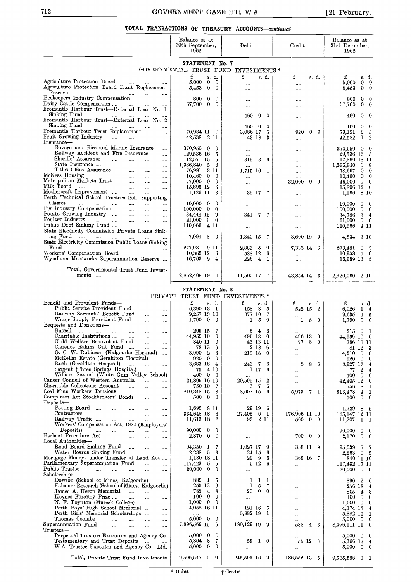#### TOTAL TRANSACTIONS OF TREASURY ACCOUNTS-continued

| 712                                                                                                                                                                                                                           | GOVERNMENT GAZETTE, W.A.<br>TOTAL TRANSACTIONS OF TREASURY ACCOUNTS-continued             |                                                                     |                                      | [21 February,                                                             |
|-------------------------------------------------------------------------------------------------------------------------------------------------------------------------------------------------------------------------------|-------------------------------------------------------------------------------------------|---------------------------------------------------------------------|--------------------------------------|---------------------------------------------------------------------------|
|                                                                                                                                                                                                                               | Balance as at<br>30th September,<br>1962                                                  | Debit                                                               | Credit                               | Balance as at<br>31st December,<br>1962                                   |
|                                                                                                                                                                                                                               | STATEMENT No. 7<br>GOVERNMENTAL TRUST FUND INVESTMENTS *                                  |                                                                     |                                      |                                                                           |
| Agriculture Protection Board<br>$\ldots$<br>$\cdots$<br>Agriculture Protection Board Plant Replacement                                                                                                                        | £<br>s. d.<br>5,000<br>0<br>$\overline{0}$<br>5,453<br>$\bf{0}$<br>$\bf{0}$               | £<br>s. d.<br><br>                                                  | £<br>s. d.<br>$\cdots$<br>$\cdots$   | £<br>s. d.<br>5,000<br>$0\quad 0$<br>$0\quad 0$<br>5,453                  |
| Reserve<br>$\sim$ $\sim$<br>$\cdots$<br>Beekeepers Industry Compensation<br><b>Contractor</b><br>$\cdots$<br>Dairy Cattle Compensation                                                                                        | $\bf{0}$<br>800<br>0<br>$\bf{0}$<br>$\theta$                                              |                                                                     | $\cdots$                             | 800<br>0<br>-0<br>$\mathbf{0}$                                            |
| $\sim 100$ mass $^{-1}$<br>$\sim$<br>Fremantle Harbour Trust-External Loan No. 1<br>Sinking Fund<br>$\cdots$                                                                                                                  | 57,700<br>$\cdots$                                                                        | $\cdots$<br>460<br>- 0<br>$\bf{0}$                                  | <br>                                 | 57,700<br>- 0<br>460<br>0<br>- 0                                          |
| Fremantle Harbour Trust-External Loan No. 2<br>Sinking Fund<br>المنباب المنباب المتباد المتبادر<br>$\cdots$<br>Fremantle Harbour Trust Replacement                                                                            | $\cdots$                                                                                  | 460.<br>- 0<br>0                                                    |                                      | $0\quad 0$<br>460                                                         |
| $\cdots$<br>Fruit Growing Industry<br>$\sim 10^{-11}$<br>$\ldots$ . $\ldots$<br>$\cdots$<br>Insurance-                                                                                                                        | 70,984 11 0<br>42,538<br>- 2 11                                                           | 3.086 17<br>5<br>43 18<br>3                                         | 0<br>$\Omega$<br>920<br>$\cdots$     | 8 <sub>5</sub><br>73,151<br>1<br>$^{2}$<br>42,582                         |
| Government Fire and Marine Insurance<br>$\cdots$<br>Railway Accident and Fire Insurance<br>$\cdots$<br>Sheriffs' Assurance<br>$\mathbf{1}$                                                                                    | 370,950<br>$^{0}$<br>$\mathbf{0}$<br>129,536 16<br>5                                      | $\cdots$<br>                                                        |                                      | 370,950<br>$^{0}$<br>- 0<br>129,536 16 5                                  |
| $\mathbf{1}$<br>$\cdots$<br>$\sim$<br>State Insurance<br>and the contract of the contract<br>$\cdots$<br>$\sim$ $\sim$ $\sim$ $\sim$<br>Titles Office Assurance<br><b>County</b><br>$\cdots$                                  | 12,571 15<br>5<br>1,386,840<br>8<br>5<br>-311<br>76,981                                   | 319<br>3<br>-6<br>$\cdots$<br>1,715 16 1                            | $\cdots$<br>$\cdots$                 | 12,890 18 11<br>5 8<br>1,386,840<br>$0\quad 0$<br>78,697                  |
| McNess Housing<br>المستحدث المساح<br><b>Contractor</b><br>$\sim$<br>$\cdots$<br>Metropolitan Markets Trust<br>$\sim 100$<br>$\cdots$<br>Milk Board                                                                            | $\mathbf{0}$<br>10,460<br>$^{0}$<br>77,000<br>$\mathbf{0}$<br>$^{0}$                      | $\cdots$<br>$\cdots$                                                | $\cdots$<br>32,000<br>$0\quad 0$     | $0\quad 0$<br>10,460<br>45,000<br>$0\quad 0$                              |
| $\cdots$ and $\cdots$<br>$\cdots$<br><b>Security</b><br>$\cdots$<br>Mothercraft Improvement<br>$\cdots$<br>$\cdots$<br>$\cdots$<br>Perth Technical School Trustees Self Supporting                                            | 15,896 12<br>6<br>1,126 11<br>3                                                           | 39 17 7                                                             | $\cdots$<br>$\cdots$                 | 15,896 12 6<br>$8\,10$<br>1,166                                           |
| Classes<br>$\sim 10^{-10}$<br>$\mathcal{L}_{\text{max}}$<br>$\ldots$ . $\ldots$<br>$\sim 100$<br>$\cdots$<br>Pig Industry Compensation<br>$\mathbf{r}$ and $\mathbf{r}$ and $\mathbf{r}$<br>$\sim$<br>Potato Growing Industry | 10,000<br>$\mathbf{0}$<br>$\bf{0}$<br>100,000<br>$\mathbf{0}$<br>$\mathbf{0}$             | <br>$\cdots$                                                        | $\cdots$<br>$\cdots$                 | 10,000<br>0<br>$\mathbf{0}$<br>$0\quad 0$<br>100,000                      |
| $\cdots$<br>Poultry Industry<br><b>Contract</b><br>$\ldots$ . $\ldots$ .<br>$\sim$ $\sim$ $\sim$ $\sim$<br>$\cdots$<br>Public Debt Sinking Fund<br>$\sim$ $\sim$<br><b>Contract</b><br>$\cdots$                               | 34,444 15<br>9<br>21,000<br>$0\quad 0$<br>110,966 4 11                                    | 341<br>77<br><br>$\cdots$                                           | $\cdots$<br>$\cdots$<br>$\cdots$     | $3\quad 4$<br>34.786<br>$0 \quad 0$<br>21,000<br>110,966<br>4 11          |
| State Electricity Commission Private Loans Sink-<br>ing Fund<br>$\cdots$<br>$\cdots$<br>$\sim 100$                                                                                                                            | 7,094 8<br>0                                                                              | 1,340 15<br>-7                                                      | 3,600 19<br>-9                       | 3 10<br>4,834                                                             |
| State Electricity Commission Public Loans Sinking<br>Fund<br>and the company of the company<br>1.1.1<br><b>Seattle Control</b><br>$\sim$<br>$\cdots$<br>Workers' Compensation Board                                           | 277,931 9 11<br>$10,369$ 12 6                                                             | 2,883 5 0<br>588 12<br>- 6                                          | 7,333 14 6                           | 273.481 0 5<br>$10,958$ 5 0                                               |
| Wyndham Meatworks Superannuation Reserve<br>Total, Governmental Trust Fund Invest-                                                                                                                                            | $16,763$ 9<br>4                                                                           | 226 4 1                                                             | $\cdots$                             | 16,989 13 5                                                               |
| ments<br>$\cdots$<br><b>Contractor</b><br>$\sim 100$<br>$\cdots$                                                                                                                                                              | 2,852,408 19 6                                                                            | 11,505 17 7                                                         | 43,854 14 3                          | 2,820,060 2 10                                                            |
|                                                                                                                                                                                                                               | STATEMENT No. 8<br>PRIVATE TRUST FUND INVESTMENTS *                                       |                                                                     |                                      |                                                                           |
| Benefit and Provident Funds-<br>Public Service Provident Fund<br><br>                                                                                                                                                         | £<br>s. d.<br>6,390 13 1                                                                  | £<br>s. d.<br>$3\quad 5$<br>158                                     | £<br>s. d.<br>522 15 2               | £<br>s. d.<br>6,026<br>14                                                 |
| Railway Servants' Benefit Fund<br>$\cdots$<br>$\cdots$<br>Water Supply Provident Fund<br>$\cdots$<br>$\cdots$<br>Bequests and Donations-                                                                                      | 9,257 13 10<br>$1,790$ 0<br>$\overline{0}$                                                | 377 10<br>- 7<br>$1\quad 5$<br>- 0                                  | 5<br>$\bf{0}$<br>1                   | 9.635<br>$4\quad 5$<br>1,790<br>$0\quad 0$                                |
| Bussell<br>$\cdots$<br>التبيدات التبيدات التبيدات التبيد<br>$\cdots$<br>Charitable Institutions<br>$\sim$<br>$\cdots$<br>Child Welfare Benevolent Fund                                                                        | 209 15<br>7<br>44,959 10<br>$^{0}$                                                        | 54<br>-6<br>496 13<br>$\overline{0}$                                | 496 13<br>0                          | 0 <sub>1</sub><br>215<br>44,959 10 0                                      |
| $\sim$<br>$\cdots$<br>Clarence Eakins Gift Fund<br>$\sim$ $\sim$<br>$\cdots$<br>G. C. W. Robinson (Kalgoorlie Hospital)<br>$\cdots$                                                                                           | 840 11<br>$^{0}$<br>78 13<br>9<br>3,990<br>$\overline{\phantom{a}}^2$<br>6                | 43 13 11<br>2 18<br>- 6<br>219 18 0                                 | 8<br>97<br>0<br>$\cdots$<br>$\cdots$ | 786 16 11<br>81 12 3<br>$4,210$ 0 6                                       |
| McKellar Estate (Geraldton Hospital)<br>$\cdots$<br>Rush (Geraldton Hospital)<br>$\ldots$ . $\ldots$<br>$\cdots$                                                                                                              | 920 0<br>$^{0}$<br>3,683 18<br>$\overline{4}$                                             | 246 7<br>6                                                          | <br>2<br>8<br>6                      | 920 0 0<br>3,927 17<br>$\overline{4}$                                     |
| Sargent (Three Springs Hospital)<br>المتبد<br><br>William Samuel (White Gum Valley School)<br>Cancer Council of Western Australia<br>التبيات                                                                                  | 4 10<br>75<br>400<br>$\mathbf{0}$<br>$\mathbf{0}$<br>21,809 16 10                         | 1 17<br>6<br>$\boldsymbol{2}$<br>20,595 15                          | $\cdots$<br>$\cdots$<br>$\dots$ .    | 77<br>$\boldsymbol{2}$<br>$\overline{4}$<br>400 0 0<br>$42,405$ 12 0      |
| Charitable Collections Account<br>$\cdots$<br>$\cdots$<br>Coal Mine Workers' Pensions<br><b>Contract</b><br>$\cdots$<br>$\cdots$                                                                                              | 750 10<br>7<br>810,848 15<br>8                                                            | 6 7<br>6<br>8,602 15 6                                              | 5,973<br>7 1                         | 756 18 1<br>813,478<br>4 <sub>1</sub>                                     |
| Companies Act Stockbrokers' Bonds<br>$\sim$<br>$\cdots$<br>Deposits-<br>Betting Board<br>$\sim 100$<br>$\ldots$ .<br>$\cdots$<br>                                                                                             | 500 -<br>$\bf{0}$<br>$^{0}$<br>1,699 8 11                                                 | $\cdots$<br>29 19 6                                                 | $\ldots$                             | $0\quad 0$<br>500<br>1,729<br>8<br>- 5                                    |
| Contractors<br>$\sim 100$<br>$\sim 100$<br>$\cdots$<br><br>Railway Traffic<br>المنباب المنبا<br>$\dots$<br>                                                                                                                   | 334,648 18<br>- 8<br>11,613 18<br>$^{2}$                                                  | 27,405 6 1<br>93 2 11                                               | 176,906 11 10<br>$0\quad 0$<br>500   | 185,147 12 11<br>11,207<br>1 1                                            |
| Workers' Compensation Act, 1924 (Employers'<br>Deposits)<br>المنتداب التبين المنتدا<br>$\sim 100$<br>$\cdots$<br>Escheat Procedure Act<br>and the<br>$\cdots$<br>$\cdots$<br>$\cdots$                                         | 90,000<br>0<br>$\Omega$<br>2,870<br>$\overline{0}$<br>$\bf{0}$                            | $\cdots$<br>                                                        | 700<br>$0\quad 0$                    | 90,000<br>$0\quad 0$<br>2.170<br>$0\quad 0$                               |
| Local Authorities-<br>Road Board Sinking Fund<br>$\mathcal{L}_{\text{max}}$<br>$\cdots$                                                                                                                                       | 94,350<br>-1<br>7                                                                         | 1,027 17<br>-9                                                      | 338 11 9                             | 95,039<br>7<br>- 7                                                        |
| Water Boards Sinking Fund<br>$\cdots$<br>Mortgage Moneys under Transfer of Land Act<br>Parliamentary Superannuation Fund<br>$\sim$ 1000 $\sim$<br>                                                                            | 2,238 5<br>- 3<br>1,180 18 11<br>117,423<br>5<br>-5                                       | 24 15<br>6<br>29 9<br>6<br>$9\,12$<br>6                             | $\cdots$<br>369 16 7<br>$\cdots$     | 2,263 0 9<br>840 11 10<br>117,432 17 11                                   |
| Public Trustee<br>$\mathcal{L} = \mathcal{L} \mathcal{L}$ and $\mathcal{L} = \mathcal{L} \mathcal{L}$<br>$\cdots$<br>$\cdots$<br>$\cdots$<br>Scholarships—                                                                    | 20,000<br>$\bf{0}$<br>$\theta$                                                            | $\cdots$                                                            |                                      | $0\quad 0$<br>20,000                                                      |
| Dowson (School of Mines, Kalgoorlie)<br>Falconer Research (School of Mines, Kalgoorlie)<br>James A. Heron Memorial<br>$\cdots$                                                                                                | 889<br>$\mathbf{1}$<br>5<br>255 12<br>9<br>785<br>$\overline{4}$<br>8                     | - 1<br>-1<br>1<br>1<br>- 5<br>7<br>$\Omega$<br>20<br>$\overline{0}$ | $\cdots$                             | $\boldsymbol{2}$<br>890<br>- 6<br>256 18<br>$\overline{4}$<br>4 8<br>805. |
| Keynes Forestry Prize<br>$\cdots$<br>N. F. Poynton (Muresk College)<br>Perth Boys' High School Memorial<br>$\cdots$                                                                                                           | $\bf{0}$<br>100<br>$\theta$<br>1,000<br>$\bf{0}$<br>$^{0}$                                | $\cdots$<br>$\cdots$                                                |                                      | 100<br>$0\quad 0$<br>$1,000 \quad 0 \quad 0$                              |
| $\cdots$<br>Perth Girls' Memorial Scholarships<br>$\cdots$<br>Thomas Coombe<br>$\mathbf{r} = \mathbf{r} \cdot \mathbf{r}$<br>$\mathbf{m}$<br>$\sim$<br>$\ldots$                                                               | 4,052 16 11<br>5,000<br>$\mathbf{0}$<br>0                                                 | 121 16 5<br>5,882 19 1                                              | $\cdots$<br>                         | 4,174 13 4<br>5,882 19 1<br>$5,000 \quad 0 \quad 0$                       |
| Superannuation Fund<br>$\cdots$<br>$\cdots$<br>$\cdots$<br>$\cdots$<br>Trustees-                                                                                                                                              | 7,896,569 15<br>6                                                                         | 180,129 19 9                                                        | -3<br>588                            | 8,076,111 11<br>$\overline{0}$                                            |
| Perpetual Trustees Executors and Agency Co.<br>Testamentary and Trust Deposits<br>W.A. Trustee Executor and Agency Co. Ltd.                                                                                                   | 5,000<br>$\mathbf{0}$<br>$\bf{0}$<br>5.364<br>- 8<br>7<br>$\mathbf{0}$<br>5,000<br>$^{0}$ | 10<br>58<br>$\cdots$                                                | 55 12 3<br>                          | $5,000 \quad 0 \quad 0$<br>5,366 17 4<br>5,000 0 0                        |
| Total, Private Trust Fund Investments                                                                                                                                                                                         | 9,506,547<br>$\boldsymbol{2}$<br>- 9                                                      | 245,593 16 9                                                        | 186,552 13 5                         | 9,565,588 6 1                                                             |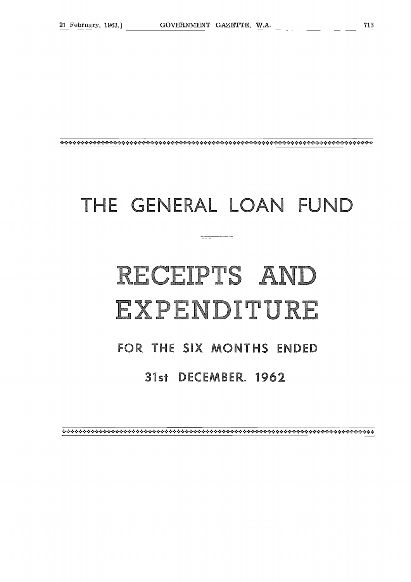### THE GENERAL LOAN FUND

# RECEIPTS AND **FOR THE STAND SENERAL LOAN FU<br>
FOR THE SIX MONTHS ENDED<br>
FOR THE SIX MONTHS ENDED<br>
31st DECEMBER. 1962**

#### **31st DECEMBER, 1962**

####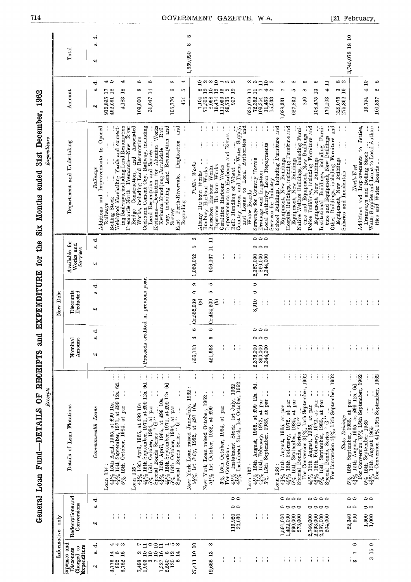| 1962                                                                   |             | Total<br>Amount                                               | ರ<br>w.<br>¢۹<br>ರ<br>ŵ                         | $\rightarrow \rightarrow$<br>4<br>17 <sub>8</sub><br>$^{8}$<br>916,895<br>4,183<br>492,561                                                                             | 6<br>ô<br>$\infty$<br>$\overline{14}$<br>31,047<br>109,000                                                                                                                                                                            | 4<br>$\infty$<br>∞<br>ю<br>105,776<br>454                                                                                                                                                                     | $\infty$<br>$\infty$<br>1,659,920                                                    | $2$ a $\infty$ $2$ $\rightarrow$ $\infty$ a<br>œ<br>$\mathbf{r}$<br>$\mathbb{R}$<br>$75,506$<br>$3,068$<br>$16,474$<br>7,104       | ្ឋាច្នុង<br>111,036<br>89,736                                                             | 907                                                                                                                 | 2 <sup>0</sup><br>$\infty$ $\infty$ $\Box$<br>635,079<br>72,352<br>$\frac{109,354}{11,453}$                                                                                                    | $\infty$<br>15,033                                                              | $\infty$<br>ю<br>627,832                                                                                                                                                                                                                                                                                               | G<br>1O<br>∞<br>$\mathbf{r}$<br>290<br>108,475                                                                                                                                                                                                  | $\Box$<br>4<br>170,103                                                                                                                                    | 3,745,078 18 10<br>ထက<br>$\frac{3}{16}$<br>328,075<br>275,862                                                                                                                                    |                                                                      |
|------------------------------------------------------------------------|-------------|---------------------------------------------------------------|-------------------------------------------------|------------------------------------------------------------------------------------------------------------------------------------------------------------------------|---------------------------------------------------------------------------------------------------------------------------------------------------------------------------------------------------------------------------------------|---------------------------------------------------------------------------------------------------------------------------------------------------------------------------------------------------------------|--------------------------------------------------------------------------------------|------------------------------------------------------------------------------------------------------------------------------------|-------------------------------------------------------------------------------------------|---------------------------------------------------------------------------------------------------------------------|------------------------------------------------------------------------------------------------------------------------------------------------------------------------------------------------|---------------------------------------------------------------------------------|------------------------------------------------------------------------------------------------------------------------------------------------------------------------------------------------------------------------------------------------------------------------------------------------------------------------|-------------------------------------------------------------------------------------------------------------------------------------------------------------------------------------------------------------------------------------------------|-----------------------------------------------------------------------------------------------------------------------------------------------------------|--------------------------------------------------------------------------------------------------------------------------------------------------------------------------------------------------|----------------------------------------------------------------------|
| 31st December,<br>Expenditure<br>ended<br>Months<br>$\ddot{\tilde{S}}$ |             | Department and Undertaking                                    | په<br>to Opened<br>Railways<br>and<br>Additions | Rouning books<br>Welshpool Marshalling Yards and connect-<br>ing Railways, including Land Resumption<br>Improvements<br>Rolling Stock<br>Railways                      | Works<br>Fremantle-North Fremantle-New River<br>Bridge Construction, and Associated<br>Works, including Land Resumption<br>Cockburn Cement Coy. Railway, including<br>Land Resumption and Survey<br>Deviation for Alumina<br>Kwinana- | Land Resumption and<br>ਾਰੂ<br>ਹ<br>j<br>Rail.<br>Duplication<br>j<br>Kwinana Mundijong Jarrahdale<br>East Perth-Rivervale,<br>way, including<br>Regrading<br>Survey                                           | Public Works                                                                         | H<br>÷<br>÷<br>ŧ.<br>÷<br>İ<br>Esperance Harbour Works<br>Bunbury Harbour Works<br>Busselton Harbour Works<br>Albany Harbour Works | ÷<br>÷<br>Improvements to Harbours and Rivers<br>$\frac{1}{2}$<br>Geraldton Harbour Works | and<br>Country Areas and Towns Water Supply, and Toans to Local Anthonics.<br>Bulk Handling of Wheat                | $\vdots$<br>Drainage and Irrigation<br>Local Autho <u>r</u> ity Loan Repayments<br>Sewerage for Country Towns<br>Water Boards                                                                  | 1,088,331<br>School Buildings, including Furniture and<br>Services for Industry | $\begin{tabular}{l c c c c } \hline \textit{Equiment, Now Bounding} &  &  \\ \textit{Hospital Binding, including Fumitune and} \\ \hline \textit{Equiment, New Binding} &  &  \\ \textit{Native Welface Eunding, including Furmi-} &  &  \\ \hline \textit{true and Equipped, New Buidings} &  & \hline \end{tabular}$ | Police Buildings, including Furniture and<br>Equipment, New Buildings                                                                                                                                                                           | Equipment, New Buildings<br>stitutional Buildings, including Furniture and Equipment, New Buildings<br>ture and Equipment, New Buildings<br>Institutional | North-West                                                                                                                                                                                       | Additions and Improvements to Jetties,<br>Tramways and Rolling Stock |
| the<br>for                                                             |             | Available for<br>Works and<br>Services                        | ರ<br>ø,<br>¢۹                                   |                                                                                                                                                                        |                                                                                                                                                                                                                                       |                                                                                                                                                                                                               | S<br>ю<br>1,069,052                                                                  | Ξ<br>$\Xi$<br>906,167                                                                                                              | ŧ                                                                                         | ŧ<br>÷                                                                                                              | 000<br>000<br>2,367,090<br>860,000<br>3,344,000                                                                                                                                                |                                                                                 | ÷<br>÷                                                                                                                                                                                                                                                                                                                 | $\pm$ 10 $\pm$<br>A.                                                                                                                                                                                                                            | $\mathcal{A}^{\mathcal{A}}$                                                                                                                               | ÷                                                                                                                                                                                                | ÷<br>÷                                                               |
| EXPENDITURE                                                            | Debt<br>New | Discounts<br>Deducted                                         | ಕ<br>á<br>په                                    |                                                                                                                                                                        | credited in previous year                                                                                                                                                                                                             |                                                                                                                                                                                                               | စာ<br>$\bullet$<br>Cr.562,939                                                        | 10<br>1O<br>Cr.484,509<br>$\widehat{a}$<br>T                                                                                       |                                                                                           | ŧ<br>÷                                                                                                              | $\circ$<br>$\circ$<br>8,910<br>Î.<br>÷                                                                                                                                                         |                                                                                 | ŧ<br>÷<br>÷                                                                                                                                                                                                                                                                                                            | Ť<br>÷<br>÷                                                                                                                                                                                                                                     | ÷<br>÷<br>J.                                                                                                                                              | ÷                                                                                                                                                                                                | ÷<br>ŧ                                                               |
| and                                                                    |             | Amount<br>Nominal                                             | ಕ<br>ø.<br>વ્ય                                  |                                                                                                                                                                        | Proceeds                                                                                                                                                                                                                              |                                                                                                                                                                                                               | $\bullet$<br>₩<br>506,113                                                            | $\bullet$<br>5<br>421,658                                                                                                          | ŧ                                                                                         | ŧ<br>÷                                                                                                              | $\circ \circ \circ$<br>$\circ \circ \circ$<br>860,000<br>3,344,000<br>2,376,000                                                                                                                |                                                                                 | ÷<br>÷<br>÷                                                                                                                                                                                                                                                                                                            | $\frac{1}{2}$<br>$\frac{1}{2}$<br>÷                                                                                                                                                                                                             | ÷<br>÷<br>÷                                                                                                                                               |                                                                                                                                                                                                  | ÷<br>ŧ                                                               |
| OF RECEIPTS<br>Receipts<br><b>-DETAILS</b><br>Fund-                    |             | Details of Loan Flotations                                    | Loans<br>Commonweakh                            | $\vdots$<br>ŧ<br>$4\frac{1}{4}\%$ 15th April, 1965, at £99 10s.<br>$4\frac{3}{4}\%$ 15th September, 1971, at £99 12s. 6d.<br>5% 15th October, 1984, at par<br>Loan 134 | $\frac{1}{2}$<br>$\vdots$<br>Î<br>$4\frac{1}{4}\%$ 15th April, 1965, at £99 10s.<br>$4\frac{4}{4}\%$ 15th September, 1971, at £99 12s. 6d.<br>5% 15th October, 1984, at par<br>Special Bonds Series " $G$ "<br>Loan $135:$            | $\frac{1}{2}$<br>Ť<br>Ť.<br>÷<br>$\frac{41}{43}\%$ 15th April, 1965, at £99 10s.<br>$\frac{43}{43}\%$ 15th September, 1971, at £99 12s. 6d.<br>$5\%$ 15th October, 1984, at par<br>Special Bonds Series " G " | New York Loan raised June-July, 1962<br>5 <sup>3</sup> % 1st July, 1982, at £97 10s. | $\vdots$<br>$\vdots$<br>New York Loan raised October, 1962:<br>5 <sup>3</sup> % 1st October, 1982, at £99                          | ŧ<br>$5\%$ 15th October, 1984, at par For Conversion :                                    | ļ<br>÷<br>$4\frac{1}{2}\%$ Instalment Stock, 1st July, 1962<br>$4\frac{1}{2}\%$ Instalment Stock, 1st October, 1962 | Î<br>Ť<br>÷<br>$\ddot{\mathbf{z}}$<br>$4\frac{1}{4}\%$ 15th August, 1965, at £99 12s.<br>$4\frac{3}{4}\%$ 15th February, 1972, at par<br>$5\%$ 15th September, 1985, at par<br>$L0$ an $137$ : | Loan 138:                                                                       | ÷<br>ŧ<br>ŧ<br>$4\frac{1}{4}\%$ 15th August, 1965, at par $4\frac{3}{4}\%$ 15th February, 1972, at par $5\%$ 15th September, 1985, at par September, 1985, at par September, 1985, at par                                                                                                                              | 1962<br>ł<br>÷<br>$^{-1}$ For Conversion $3\frac{10}{8}\%$ , Löth September, 42% 15th August, 1965, at par<br>42% 15th Rebruary, 1972, at par<br>$5\frac{6}{8}\%$ 15th September, 1985, at par<br>$5\frac{6}{8}\%$ 15th September, 1985, at par | ŧ<br>For Conversion $4\frac{1}{2}\%$ , 15th September, 1962                                                                                               | $5\%$ 15th September, 1985, at par<br>$4\frac{1}{4}\%$ 15th August, 1965, at £99 12s. 6d.<br>For Conversion $3\frac{1}{8}\%$ 15th September, 1962<br>$5\%$ 15th September 1985<br>State Raisings |                                                                      |
| General Loan                                                           | only        | Redemptions and<br>Conversions                                | ರ<br>ŵ<br>¢۹                                    | ÷<br>÷                                                                                                                                                                 | ÷<br>÷<br>÷                                                                                                                                                                                                                           | ÷<br>÷<br>÷<br>ŧ                                                                                                                                                                                              |                                                                                      | ļ                                                                                                                                  | ÷                                                                                         | 00<br>00<br>32,630<br>119,920                                                                                       | H<br>÷                                                                                                                                                                                         | 1,591,000<br>1,402,000                                                          | 0000<br>0000<br>990,000<br>273,000                                                                                                                                                                                                                                                                                     | 0000<br>0000<br>$\begin{array}{c} 2,746,000 \\ 2,893,000 \\ 2,387,000 \\ 2,387,000 \end{array}$                                                                                                                                                 |                                                                                                                                                           | 00<br>00<br>900<br>22,340                                                                                                                                                                        | $1,500$<br>$1,000$                                                   |
|                                                                        | Informative | hus seasedxi<br><b>Expenditure</b><br>Charged to<br>Discounts | -ಕ<br>á<br>¢۹                                   | まする<br>$4,776$ 14<br>892 6<br>6,762 16<br>6,762                                                                                                                        | $\overline{a}$<br>r<br>ᅌ<br>$\frac{2}{10}$<br>$\mathbf{r}$<br>$\overline{a}$<br>$^{7,498}_{1,993}$<br>$\infty$ r-                                                                                                                     | $-50$<br>$\Xi$<br>1600<br>14<br>120<br>$\frac{1,327}{2,560}$<br>అ                                                                                                                                             | $\mathbf{a}$<br>27,411 10                                                            | $\infty$<br>19,666 13                                                                                                              | ÷                                                                                         | ŧ<br>÷                                                                                                              | 主任性                                                                                                                                                                                            | ÷                                                                               | $\sim 10$<br>÷                                                                                                                                                                                                                                                                                                         | ÷<br>−÷                                                                                                                                                                                                                                         | ÷<br>÷                                                                                                                                                    | $\circ$<br>Ľ<br>് ക                                                                                                                                                                              |                                                                      |

# General Loan Eund—DETAILS OF EECEIPTS and EXPENDITIER for the Six Months ended 31st December 1962 **General Loan Fund-DETAILS OF RECEIPTS and EXPENDITURE for the Six Months ended 31st December, 1962**

[21 February,